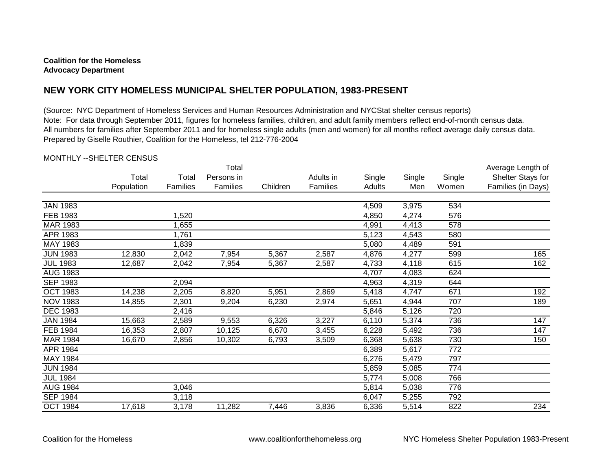## **Coalition for the Homeless Advocacy Department**

## **NEW YORK CITY HOMELESS MUNICIPAL SHELTER POPULATION, 1983-PRESENT**

(Source: NYC Department of Homeless Services and Human Resources Administration and NYCStat shelter census reports) Note: For data through September 2011, figures for homeless families, children, and adult family members reflect end-of-month census data. All numbers for families after September 2011 and for homeless single adults (men and women) for all months reflect average daily census data. Prepared by Giselle Routhier, Coalition for the Homeless, tel 212-776-2004

## MONTHLY --SHELTER CENSUS

|                 |            |          | Total      | Average Length of |           |        |        |        |                    |
|-----------------|------------|----------|------------|-------------------|-----------|--------|--------|--------|--------------------|
|                 | Total      | Total    | Persons in |                   | Adults in | Single | Single | Single | Shelter Stays for  |
|                 | Population | Families | Families   | Children          | Families  | Adults | Men    | Women  | Families (in Days) |
| <b>JAN 1983</b> |            |          |            |                   |           | 4,509  | 3,975  | 534    |                    |
| <b>FEB 1983</b> |            | 1,520    |            |                   |           | 4,850  | 4,274  | 576    |                    |
| MAR 1983        |            | 1,655    |            |                   |           | 4,991  | 4,413  | 578    |                    |
| APR 1983        |            | 1,761    |            |                   |           | 5,123  | 4,543  | 580    |                    |
| MAY 1983        |            | 1,839    |            |                   |           | 5,080  | 4,489  | 591    |                    |
| <b>JUN 1983</b> | 12,830     | 2,042    | 7,954      | 5,367             | 2,587     | 4,876  | 4,277  | 599    | 165                |
| <b>JUL 1983</b> | 12,687     | 2,042    | 7,954      | 5,367             | 2,587     | 4,733  | 4,118  | 615    | 162                |
| <b>AUG 1983</b> |            |          |            |                   |           | 4,707  | 4,083  | 624    |                    |
| <b>SEP 1983</b> |            | 2,094    |            |                   |           | 4,963  | 4,319  | 644    |                    |
| <b>OCT 1983</b> | 14,238     | 2,205    | 8,820      | 5,951             | 2,869     | 5,418  | 4,747  | 671    | 192                |
| <b>NOV 1983</b> | 14,855     | 2,301    | 9,204      | 6,230             | 2,974     | 5,651  | 4,944  | 707    | 189                |
| <b>DEC 1983</b> |            | 2,416    |            |                   |           | 5,846  | 5,126  | 720    |                    |
| <b>JAN 1984</b> | 15,663     | 2,589    | 9,553      | 6,326             | 3,227     | 6,110  | 5,374  | 736    | 147                |
| FEB 1984        | 16,353     | 2,807    | 10,125     | 6,670             | 3,455     | 6,228  | 5,492  | 736    | 147                |
| <b>MAR 1984</b> | 16,670     | 2,856    | 10,302     | 6,793             | 3,509     | 6,368  | 5,638  | 730    | 150                |
| APR 1984        |            |          |            |                   |           | 6,389  | 5,617  | 772    |                    |
| MAY 1984        |            |          |            |                   |           | 6,276  | 5,479  | 797    |                    |
| <b>JUN 1984</b> |            |          |            |                   |           | 5,859  | 5,085  | 774    |                    |
| <b>JUL 1984</b> |            |          |            |                   |           | 5,774  | 5,008  | 766    |                    |
| <b>AUG 1984</b> |            | 3,046    |            |                   |           | 5,814  | 5,038  | 776    |                    |
| <b>SEP 1984</b> |            | 3,118    |            |                   |           | 6,047  | 5,255  | 792    |                    |
| <b>OCT 1984</b> | 17,618     | 3,178    | 11,282     | 7,446             | 3,836     | 6,336  | 5,514  | 822    | 234                |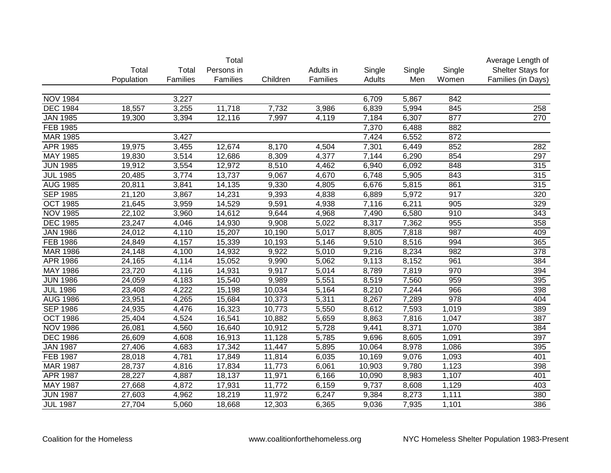|                 |            |          | Total      |          |           |        |        |        | Average Length of  |
|-----------------|------------|----------|------------|----------|-----------|--------|--------|--------|--------------------|
|                 | Total      | Total    | Persons in |          | Adults in | Single | Single | Single | Shelter Stays for  |
|                 | Population | Families | Families   | Children | Families  | Adults | Men    | Women  | Families (in Days) |
|                 |            |          |            |          |           |        |        |        |                    |
| <b>NOV 1984</b> |            | 3,227    |            |          |           | 6,709  | 5,867  | 842    |                    |
| <b>DEC 1984</b> | 18,557     | 3,255    | 11,718     | 7,732    | 3,986     | 6,839  | 5,994  | 845    | 258                |
| <b>JAN 1985</b> | 19,300     | 3,394    | 12,116     | 7,997    | 4,119     | 7,184  | 6,307  | 877    | 270                |
| FEB 1985        |            |          |            |          |           | 7,370  | 6,488  | 882    |                    |
| <b>MAR 1985</b> |            | 3,427    |            |          |           | 7,424  | 6,552  | 872    |                    |
| <b>APR 1985</b> | 19,975     | 3,455    | 12,674     | 8,170    | 4,504     | 7,301  | 6,449  | 852    | 282                |
| <b>MAY 1985</b> | 19,830     | 3,514    | 12,686     | 8,309    | 4,377     | 7,144  | 6,290  | 854    | 297                |
| <b>JUN 1985</b> | 19,912     | 3,554    | 12,972     | 8,510    | 4,462     | 6,940  | 6,092  | 848    | 315                |
| <b>JUL 1985</b> | 20,485     | 3,774    | 13,737     | 9,067    | 4,670     | 6,748  | 5,905  | 843    | 315                |
| <b>AUG 1985</b> | 20,811     | 3,841    | 14,135     | 9,330    | 4,805     | 6,676  | 5,815  | 861    | 315                |
| <b>SEP 1985</b> | 21,120     | 3,867    | 14,231     | 9,393    | 4,838     | 6,889  | 5,972  | 917    | 320                |
| <b>OCT 1985</b> | 21,645     | 3,959    | 14,529     | 9,591    | 4,938     | 7,116  | 6,211  | 905    | 329                |
| <b>NOV 1985</b> | 22,102     | 3,960    | 14,612     | 9,644    | 4,968     | 7,490  | 6,580  | 910    | 343                |
| <b>DEC 1985</b> | 23,247     | 4,046    | 14,930     | 9,908    | 5,022     | 8,317  | 7,362  | 955    | 358                |
| <b>JAN 1986</b> | 24,012     | 4,110    | 15,207     | 10,190   | 5,017     | 8,805  | 7,818  | 987    | 409                |
| <b>FEB 1986</b> | 24,849     | 4,157    | 15,339     | 10,193   | 5,146     | 9,510  | 8,516  | 994    | 365                |
| MAR 1986        | 24,148     | 4,100    | 14,932     | 9,922    | 5,010     | 9,216  | 8,234  | 982    | 378                |
| APR 1986        | 24,165     | 4,114    | 15,052     | 9,990    | 5,062     | 9,113  | 8,152  | 961    | 384                |
| <b>MAY 1986</b> | 23,720     | 4,116    | 14,931     | 9,917    | 5,014     | 8,789  | 7,819  | 970    | 394                |
| <b>JUN 1986</b> | 24,059     | 4,183    | 15,540     | 9,989    | 5,551     | 8,519  | 7,560  | 959    | 395                |
| <b>JUL 1986</b> | 23,408     | 4,222    | 15,198     | 10,034   | 5,164     | 8,210  | 7,244  | 966    | 398                |
| <b>AUG 1986</b> | 23,951     | 4,265    | 15,684     | 10,373   | 5,311     | 8,267  | 7,289  | 978    | 404                |
| <b>SEP 1986</b> | 24,935     | 4,476    | 16,323     | 10,773   | 5,550     | 8,612  | 7,593  | 1,019  | 389                |
| <b>OCT 1986</b> | 25,404     | 4,524    | 16,541     | 10,882   | 5,659     | 8,863  | 7,816  | 1,047  | 387                |
| <b>NOV 1986</b> | 26,081     | 4,560    | 16,640     | 10,912   | 5,728     | 9,441  | 8,371  | 1,070  | 384                |
| <b>DEC 1986</b> | 26,609     | 4,608    | 16,913     | 11,128   | 5,785     | 9,696  | 8,605  | 1,091  | 397                |
| <b>JAN 1987</b> | 27,406     | 4,683    | 17,342     | 11,447   | 5,895     | 10,064 | 8,978  | 1,086  | 395                |
| <b>FEB 1987</b> | 28,018     | 4,781    | 17,849     | 11,814   | 6,035     | 10,169 | 9,076  | 1,093  | 401                |
| <b>MAR 1987</b> | 28,737     | 4,816    | 17,834     | 11,773   | 6,061     | 10,903 | 9,780  | 1,123  | 398                |
| <b>APR 1987</b> | 28,227     | 4,887    | 18,137     | 11,971   | 6,166     | 10,090 | 8,983  | 1,107  | 401                |
| <b>MAY 1987</b> | 27,668     | 4,872    | 17,931     | 11,772   | 6,159     | 9,737  | 8,608  | 1,129  | 403                |
| <b>JUN 1987</b> | 27,603     | 4,962    | 18,219     | 11,972   | 6,247     | 9,384  | 8,273  | 1,111  | 380                |
| <b>JUL 1987</b> | 27,704     | 5,060    | 18,668     | 12,303   | 6,365     | 9,036  | 7,935  | 1,101  | 386                |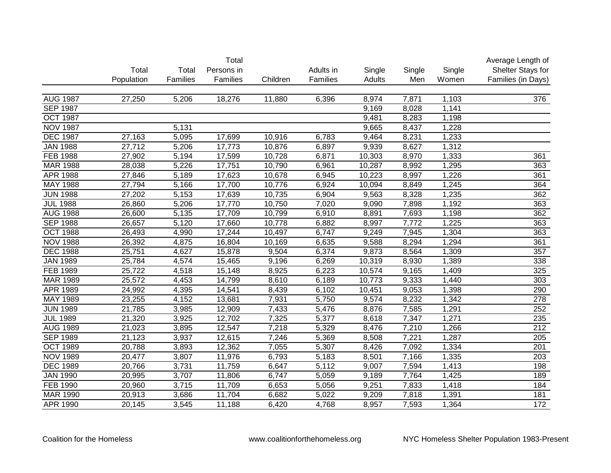|                 |            |          | Total      |          |           |        |        |        | Average Length of  |
|-----------------|------------|----------|------------|----------|-----------|--------|--------|--------|--------------------|
|                 | Total      | Total    | Persons in |          | Adults in | Single | Single | Single | Shelter Stays for  |
|                 | Population | Families | Families   | Children | Families  | Adults | Men    | Women  | Families (in Days) |
|                 |            |          |            |          |           |        |        |        |                    |
| <b>AUG 1987</b> | 27,250     | 5,206    | 18,276     | 11,880   | 6,396     | 8,974  | 7,871  | 1,103  | 376                |
| <b>SEP 1987</b> |            |          |            |          |           | 9,169  | 8,028  | 1,141  |                    |
| <b>OCT 1987</b> |            |          |            |          |           | 9,481  | 8,283  | 1,198  |                    |
| <b>NOV 1987</b> |            | 5,131    |            |          |           | 9,665  | 8,437  | 1,228  |                    |
| <b>DEC 1987</b> | 27,163     | 5,095    | 17,699     | 10,916   | 6,783     | 9,464  | 8,231  | 1,233  |                    |
| <b>JAN 1988</b> | 27,712     | 5,206    | 17,773     | 10,876   | 6,897     | 9,939  | 8,627  | 1,312  |                    |
| <b>FEB 1988</b> | 27,902     | 5,194    | 17,599     | 10,728   | 6,871     | 10,303 | 8,970  | 1,333  | 361                |
| <b>MAR 1988</b> | 28,038     | 5,226    | 17,751     | 10,790   | 6,961     | 10,287 | 8,992  | 1,295  | 363                |
| <b>APR 1988</b> | 27,846     | 5,189    | 17,623     | 10,678   | 6,945     | 10,223 | 8,997  | 1,226  | 361                |
| <b>MAY 1988</b> | 27,794     | 5,166    | 17,700     | 10,776   | 6,924     | 10,094 | 8,849  | 1,245  | 364                |
| <b>JUN 1988</b> | 27,202     | 5,153    | 17,639     | 10,735   | 6,904     | 9,563  | 8,328  | 1,235  | 362                |
| <b>JUL 1988</b> | 26,860     | 5,206    | 17,770     | 10,750   | 7,020     | 9,090  | 7,898  | 1,192  | 363                |
| <b>AUG 1988</b> | 26,600     | 5,135    | 17,709     | 10,799   | 6,910     | 8,891  | 7,693  | 1,198  | 362                |
| <b>SEP 1988</b> | 26,657     | 5,120    | 17,660     | 10,778   | 6,882     | 8,997  | 7,772  | 1,225  | 363                |
| <b>OCT 1988</b> | 26,493     | 4,990    | 17,244     | 10,497   | 6,747     | 9,249  | 7,945  | 1,304  | 363                |
| <b>NOV 1988</b> | 26,392     | 4,875    | 16,804     | 10,169   | 6,635     | 9,588  | 8,294  | 1,294  | 361                |
| <b>DEC 1988</b> | 25,751     | 4,627    | 15,878     | 9,504    | 6,374     | 9,873  | 8,564  | 1,309  | 357                |
| <b>JAN 1989</b> | 25,784     | 4,574    | 15,465     | 9,196    | 6,269     | 10,319 | 8,930  | 1,389  | 338                |
| <b>FEB 1989</b> | 25,722     | 4,518    | 15,148     | 8,925    | 6,223     | 10,574 | 9,165  | 1,409  | 325                |
| <b>MAR 1989</b> | 25,572     | 4,453    | 14,799     | 8,610    | 6,189     | 10,773 | 9,333  | 1,440  | 303                |
| APR 1989        | 24,992     | 4,395    | 14,541     | 8,439    | 6,102     | 10,451 | 9,053  | 1,398  | 290                |
| <b>MAY 1989</b> | 23,255     | 4,152    | 13,681     | 7,931    | 5,750     | 9,574  | 8,232  | 1,342  | 278                |
| <b>JUN 1989</b> | 21,785     | 3,985    | 12,909     | 7,433    | 5,476     | 8,876  | 7,585  | 1,291  | 252                |
| <b>JUL 1989</b> | 21,320     | 3,925    | 12,702     | 7,325    | 5,377     | 8,618  | 7,347  | 1,271  | 235                |
| <b>AUG 1989</b> | 21,023     | 3,895    | 12,547     | 7,218    | 5,329     | 8,476  | 7,210  | 1,266  | 212                |
| <b>SEP 1989</b> | 21,123     | 3,937    | 12,615     | 7,246    | 5,369     | 8,508  | 7,221  | 1,287  | 205                |
| <b>OCT 1989</b> | 20,788     | 3,893    | 12,362     | 7,055    | 5,307     | 8,426  | 7,092  | 1,334  | 201                |
| <b>NOV 1989</b> | 20,477     | 3,807    | 11,976     | 6,793    | 5,183     | 8,501  | 7,166  | 1,335  | 203                |
| <b>DEC 1989</b> | 20,766     | 3,731    | 11,759     | 6,647    | 5,112     | 9,007  | 7,594  | 1,413  | 198                |
| <b>JAN 1990</b> | 20,995     | 3,707    | 11,806     | 6,747    | 5,059     | 9,189  | 7,764  | 1,425  | 189                |
| <b>FEB 1990</b> | 20,960     | 3,715    | 11,709     | 6,653    | 5,056     | 9,251  | 7,833  | 1,418  | 184                |
| <b>MAR 1990</b> | 20,913     | 3,686    | 11,704     | 6,682    | 5,022     | 9,209  | 7,818  | 1,391  | 181                |
| APR 1990        | 20,145     | 3,545    | 11,188     | 6,420    | 4,768     | 8,957  | 7,593  | 1,364  | 172                |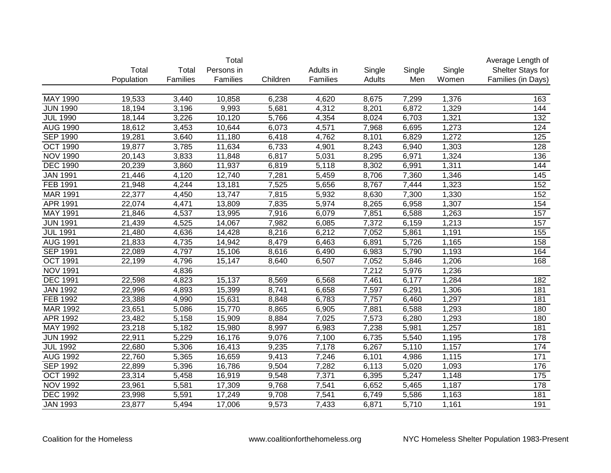|                 |            |                    | Total      |          |           |        |        |        | Average Length of  |
|-----------------|------------|--------------------|------------|----------|-----------|--------|--------|--------|--------------------|
|                 | Total      | Total              | Persons in |          | Adults in | Single | Single | Single | Shelter Stays for  |
|                 | Population | Families           | Families   | Children | Families  | Adults | Men    | Women  | Families (in Days) |
|                 |            |                    |            |          |           |        |        |        |                    |
| MAY 1990        | 19,533     | 3,440              | 10,858     | 6,238    | 4,620     | 8,675  | 7,299  | 1,376  | 163                |
| <b>JUN 1990</b> | 18,194     | 3,196              | 9,993      | 5,681    | 4,312     | 8,201  | 6,872  | 1,329  | 144                |
| <b>JUL 1990</b> | 18,144     | 3,226              | 10,120     | 5,766    | 4,354     | 8,024  | 6,703  | 1,321  | $\overline{132}$   |
| <b>AUG 1990</b> | 18,612     | 3,453              | 10,644     | 6,073    | 4,571     | 7,968  | 6,695  | 1,273  | 124                |
| <b>SEP 1990</b> | 19,281     | 3,640              | 11,180     | 6,418    | 4,762     | 8,101  | 6,829  | 1,272  | 125                |
| <b>OCT 1990</b> | 19,877     | 3,785              | 11,634     | 6,733    | 4,901     | 8,243  | 6,940  | 1,303  | 128                |
| <b>NOV 1990</b> | 20,143     | 3,833              | 11,848     | 6,817    | 5,031     | 8,295  | 6,971  | 1,324  | 136                |
| <b>DEC 1990</b> | 20,239     | 3,860              | 11,937     | 6,819    | 5,118     | 8,302  | 6,991  | 1,311  | 144                |
| <b>JAN 1991</b> | 21,446     | 4,120              | 12,740     | 7,281    | 5,459     | 8,706  | 7,360  | 1,346  | $\overline{145}$   |
| FEB 1991        | 21,948     | 4,244              | 13,181     | 7,525    | 5,656     | 8,767  | 7,444  | 1,323  | 152                |
| <b>MAR 1991</b> | 22,377     | 4,450              | 13,747     | 7,815    | 5,932     | 8,630  | 7,300  | 1,330  | 152                |
| APR 1991        | 22,074     | 4,471              | 13,809     | 7,835    | 5,974     | 8,265  | 6,958  | 1,307  | 154                |
| MAY 1991        | 21,846     | 4,537              | 13,995     | 7,916    | 6,079     | 7,851  | 6,588  | 1,263  | 157                |
| <b>JUN 1991</b> | 21,439     | 4,525              | 14,067     | 7,982    | 6,085     | 7,372  | 6,159  | 1,213  | 157                |
| <b>JUL 1991</b> | 21,480     | 4,636              | 14,428     | 8,216    | 6,212     | 7,052  | 5,861  | 1,191  | 155                |
| <b>AUG 1991</b> | 21,833     | 4,735              | 14,942     | 8,479    | 6,463     | 6,891  | 5,726  | 1,165  | 158                |
| <b>SEP 1991</b> | 22,089     | 4,797              | 15,106     | 8,616    | 6,490     | 6,983  | 5,790  | 1,193  | 164                |
| <b>OCT 1991</b> | 22,199     | 4,796              | 15,147     | 8,640    | 6,507     | 7,052  | 5,846  | 1,206  | 168                |
| <b>NOV 1991</b> |            | 4,836              |            |          |           | 7,212  | 5,976  | 1,236  |                    |
| <b>DEC 1991</b> | 22,598     | $\overline{4,823}$ | 15,137     | 8,569    | 6,568     | 7,461  | 6,177  | 1,284  | 182                |
| <b>JAN 1992</b> | 22,996     | 4,893              | 15,399     | 8,741    | 6,658     | 7,597  | 6,291  | 1,306  | 181                |
| FEB 1992        | 23,388     | 4,990              | 15,631     | 8,848    | 6,783     | 7,757  | 6,460  | 1,297  | 181                |
| MAR 1992        | 23,651     | 5,086              | 15,770     | 8,865    | 6,905     | 7,881  | 6,588  | 1,293  | 180                |
| APR 1992        | 23,482     | 5,158              | 15,909     | 8,884    | 7,025     | 7,573  | 6,280  | 1,293  | 180                |
| MAY 1992        | 23,218     | 5,182              | 15,980     | 8,997    | 6,983     | 7,238  | 5,981  | 1,257  | 181                |
| <b>JUN 1992</b> | 22,911     | 5,229              | 16,176     | 9,076    | 7,100     | 6,735  | 5,540  | 1,195  | 178                |
| <b>JUL 1992</b> | 22,680     | 5,306              | 16,413     | 9,235    | 7,178     | 6,267  | 5,110  | 1,157  | 174                |
| <b>AUG 1992</b> | 22,760     | 5,365              | 16,659     | 9,413    | 7,246     | 6,101  | 4,986  | 1,115  | 171                |
| <b>SEP 1992</b> | 22,899     | 5,396              | 16,786     | 9,504    | 7,282     | 6,113  | 5,020  | 1,093  | 176                |
| <b>OCT 1992</b> | 23,314     | 5,458              | 16,919     | 9,548    | 7,371     | 6,395  | 5,247  | 1,148  | 175                |
| <b>NOV 1992</b> | 23,961     | 5,581              | 17,309     | 9,768    | 7,541     | 6,652  | 5,465  | 1,187  | 178                |
| <b>DEC 1992</b> | 23,998     | 5,591              | 17,249     | 9,708    | 7,541     | 6,749  | 5,586  | 1,163  | 181                |
| <b>JAN 1993</b> | 23,877     | 5,494              | 17,006     | 9,573    | 7,433     | 6,871  | 5,710  | 1,161  | 191                |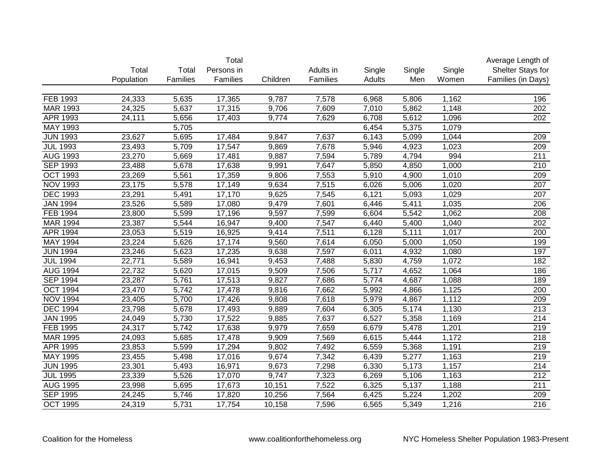|                 |            |          | Total      |          |           |        |        |        | Average Length of  |
|-----------------|------------|----------|------------|----------|-----------|--------|--------|--------|--------------------|
|                 | Total      | Total    | Persons in |          | Adults in | Single | Single | Single | Shelter Stays for  |
|                 | Population | Families | Families   | Children | Families  | Adults | Men    | Women  | Families (in Days) |
|                 |            |          |            |          |           |        |        |        |                    |
| FEB 1993        | 24,333     | 5,635    | 17,365     | 9,787    | 7,578     | 6,968  | 5,806  | 1,162  | 196                |
| MAR 1993        | 24,325     | 5,637    | 17,315     | 9,706    | 7,609     | 7,010  | 5,862  | 1,148  | 202                |
| APR 1993        | 24,111     | 5,656    | 17,403     | 9,774    | 7,629     | 6,708  | 5,612  | 1,096  | 202                |
| MAY 1993        |            | 5,705    |            |          |           | 6,454  | 5,375  | 1,079  |                    |
| <b>JUN 1993</b> | 23,627     | 5,695    | 17,484     | 9,847    | 7,637     | 6,143  | 5,099  | 1,044  | 209                |
| <b>JUL 1993</b> | 23,493     | 5,709    | 17,547     | 9,869    | 7,678     | 5,946  | 4,923  | 1,023  | 209                |
| <b>AUG 1993</b> | 23,270     | 5,669    | 17,481     | 9,887    | 7,594     | 5,789  | 4,794  | 994    | $\overline{211}$   |
| <b>SEP 1993</b> | 23,488     | 5,678    | 17,638     | 9,991    | 7,647     | 5,850  | 4,850  | 1,000  | 210                |
| <b>OCT 1993</b> | 23,269     | 5,561    | 17,359     | 9,806    | 7,553     | 5,910  | 4,900  | 1,010  | 209                |
| <b>NOV 1993</b> | 23,175     | 5,578    | 17,149     | 9,634    | 7,515     | 6,026  | 5,006  | 1,020  | 207                |
| <b>DEC 1993</b> | 23,291     | 5,491    | 17,170     | 9,625    | 7,545     | 6,121  | 5,093  | 1,029  | 207                |
| <b>JAN 1994</b> | 23,526     | 5,589    | 17,080     | 9,479    | 7,601     | 6,446  | 5,411  | 1,035  | 206                |
| FEB 1994        | 23,800     | 5,599    | 17,196     | 9,597    | 7,599     | 6,604  | 5,542  | 1,062  | 208                |
| <b>MAR 1994</b> | 23,387     | 5,544    | 16,947     | 9,400    | 7,547     | 6,440  | 5,400  | 1,040  | 202                |
| APR 1994        | 23,053     | 5,519    | 16,925     | 9,414    | 7,511     | 6,128  | 5,111  | 1,017  | 200                |
| MAY 1994        | 23,224     | 5,626    | 17,174     | 9,560    | 7,614     | 6,050  | 5,000  | 1,050  | 199                |
| <b>JUN 1994</b> | 23,246     | 5,623    | 17,235     | 9,638    | 7,597     | 6,011  | 4,932  | 1,080  | 197                |
| <b>JUL 1994</b> | 22,771     | 5,589    | 16,941     | 9,453    | 7,488     | 5,830  | 4,759  | 1,072  | 182                |
| <b>AUG 1994</b> | 22,732     | 5,620    | 17,015     | 9,509    | 7,506     | 5,717  | 4,652  | 1,064  | 186                |
| <b>SEP 1994</b> | 23,287     | 5,761    | 17,513     | 9,827    | 7,686     | 5,774  | 4,687  | 1,088  | 189                |
| <b>OCT 1994</b> | 23,470     | 5,742    | 17,478     | 9,816    | 7,662     | 5,992  | 4,866  | 1,125  | 200                |
| <b>NOV 1994</b> | 23,405     | 5,700    | 17,426     | 9,808    | 7,618     | 5,979  | 4,867  | 1,112  | 209                |
| <b>DEC 1994</b> | 23,798     | 5,678    | 17,493     | 9,889    | 7,604     | 6,305  | 5,174  | 1,130  | 213                |
| <b>JAN 1995</b> | 24,049     | 5,730    | 17,522     | 9,885    | 7,637     | 6,527  | 5,358  | 1,169  | 214                |
| FEB 1995        | 24,317     | 5,742    | 17,638     | 9,979    | 7,659     | 6,679  | 5,478  | 1,201  | 219                |
| <b>MAR 1995</b> | 24,093     | 5,685    | 17,478     | 9,909    | 7,569     | 6,615  | 5,444  | 1,172  | 218                |
| APR 1995        | 23,853     | 5,599    | 17,294     | 9,802    | 7,492     | 6,559  | 5,368  | 1,191  | 219                |
| MAY 1995        | 23,455     | 5,498    | 17,016     | 9,674    | 7,342     | 6,439  | 5,277  | 1,163  | 219                |
| <b>JUN 1995</b> | 23,301     | 5,493    | 16,971     | 9,673    | 7,298     | 6,330  | 5,173  | 1,157  | 214                |
| <b>JUL 1995</b> | 23,339     | 5,526    | 17,070     | 9,747    | 7,323     | 6,269  | 5,106  | 1,163  | $\overline{212}$   |
| <b>AUG 1995</b> | 23,998     | 5,695    | 17,673     | 10,151   | 7,522     | 6,325  | 5,137  | 1,188  | 211                |
| <b>SEP 1995</b> | 24,245     | 5,746    | 17,820     | 10,256   | 7,564     | 6,425  | 5,224  | 1,202  | 209                |
| <b>OCT 1995</b> | 24,319     | 5,731    | 17,754     | 10,158   | 7,596     | 6,565  | 5,349  | 1,216  | $\overline{216}$   |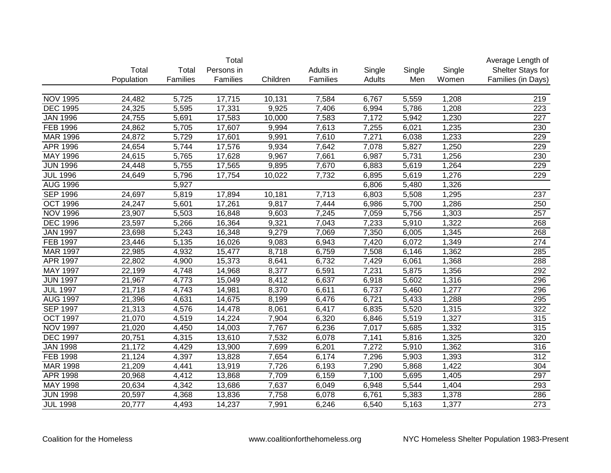|                 | Total<br>Average Length of |          |            |          |           |        |        |        |                    |  |
|-----------------|----------------------------|----------|------------|----------|-----------|--------|--------|--------|--------------------|--|
|                 | Total                      | Total    | Persons in |          | Adults in | Single | Single | Single | Shelter Stays for  |  |
|                 | Population                 | Families | Families   | Children | Families  | Adults | Men    | Women  | Families (in Days) |  |
|                 |                            |          |            |          |           |        |        |        |                    |  |
| <b>NOV 1995</b> | 24,482                     | 5,725    | 17,715     | 10,131   | 7,584     | 6,767  | 5,559  | 1,208  | 219                |  |
| <b>DEC 1995</b> | 24,325                     | 5,595    | 17,331     | 9,925    | 7,406     | 6,994  | 5,786  | 1,208  | 223                |  |
| <b>JAN 1996</b> | 24,755                     | 5,691    | 17,583     | 10,000   | 7,583     | 7,172  | 5,942  | 1,230  | 227                |  |
| FEB 1996        | 24,862                     | 5,705    | 17,607     | 9,994    | 7,613     | 7,255  | 6,021  | 1,235  | 230                |  |
| MAR 1996        | 24,872                     | 5,729    | 17,601     | 9,991    | 7,610     | 7,271  | 6,038  | 1,233  | 229                |  |
| <b>APR 1996</b> | 24,654                     | 5,744    | 17,576     | 9,934    | 7,642     | 7,078  | 5,827  | 1,250  | 229                |  |
| <b>MAY 1996</b> | 24,615                     | 5,765    | 17,628     | 9,967    | 7,661     | 6,987  | 5,731  | 1,256  | 230                |  |
| <b>JUN 1996</b> | 24,448                     | 5,755    | 17,565     | 9,895    | 7,670     | 6,883  | 5,619  | 1,264  | 229                |  |
| <b>JUL 1996</b> | 24,649                     | 5,796    | 17,754     | 10,022   | 7,732     | 6,895  | 5,619  | 1,276  | 229                |  |
| <b>AUG 1996</b> |                            | 5,927    |            |          |           | 6,806  | 5,480  | 1,326  |                    |  |
| <b>SEP 1996</b> | 24,697                     | 5,819    | 17,894     | 10,181   | 7,713     | 6,803  | 5,508  | 1,295  | 237                |  |
| <b>OCT 1996</b> | 24,247                     | 5,601    | 17,261     | 9,817    | 7,444     | 6,986  | 5,700  | 1,286  | 250                |  |
| <b>NOV 1996</b> | 23,907                     | 5,503    | 16,848     | 9,603    | 7,245     | 7,059  | 5,756  | 1,303  | 257                |  |
| <b>DEC 1996</b> | 23,597                     | 5,266    | 16,364     | 9,321    | 7,043     | 7,233  | 5,910  | 1,322  | 268                |  |
| <b>JAN 1997</b> | 23,698                     | 5,243    | 16,348     | 9,279    | 7,069     | 7,350  | 6,005  | 1,345  | 268                |  |
| <b>FEB 1997</b> | 23,446                     | 5,135    | 16,026     | 9,083    | 6,943     | 7,420  | 6,072  | 1,349  | 274                |  |
| <b>MAR 1997</b> | 22,985                     | 4,932    | 15,477     | 8,718    | 6,759     | 7,508  | 6,146  | 1,362  | 285                |  |
| APR 1997        | 22,802                     | 4,900    | 15,373     | 8,641    | 6,732     | 7,429  | 6,061  | 1,368  | 288                |  |
| MAY 1997        | 22,199                     | 4,748    | 14,968     | 8,377    | 6,591     | 7,231  | 5,875  | 1,356  | 292                |  |
| <b>JUN 1997</b> | 21,967                     | 4,773    | 15,049     | 8,412    | 6,637     | 6,918  | 5,602  | 1,316  | 296                |  |
| <b>JUL 1997</b> | 21,718                     | 4,743    | 14,981     | 8,370    | 6,611     | 6,737  | 5,460  | 1,277  | 296                |  |
| <b>AUG 1997</b> | 21,396                     | 4,631    | 14,675     | 8,199    | 6,476     | 6,721  | 5,433  | 1,288  | 295                |  |
| <b>SEP 1997</b> | 21,313                     | 4,576    | 14,478     | 8,061    | 6,417     | 6,835  | 5,520  | 1,315  | 322                |  |
| <b>OCT 1997</b> | 21,070                     | 4,519    | 14,224     | 7,904    | 6,320     | 6,846  | 5,519  | 1,327  | 315                |  |
| <b>NOV 1997</b> | 21,020                     | 4,450    | 14,003     | 7,767    | 6,236     | 7,017  | 5,685  | 1,332  | 315                |  |
| <b>DEC 1997</b> | 20,751                     | 4,315    | 13,610     | 7,532    | 6,078     | 7,141  | 5,816  | 1,325  | 320                |  |
| <b>JAN 1998</b> | 21,172                     | 4,429    | 13,900     | 7,699    | 6,201     | 7,272  | 5,910  | 1,362  | 316                |  |
| <b>FEB 1998</b> | 21,124                     | 4,397    | 13,828     | 7,654    | 6,174     | 7,296  | 5,903  | 1,393  | $\overline{312}$   |  |
| <b>MAR 1998</b> | 21,209                     | 4,441    | 13,919     | 7,726    | 6,193     | 7,290  | 5,868  | 1,422  | 304                |  |
| <b>APR 1998</b> | 20,968                     | 4,412    | 13,868     | 7,709    | 6,159     | 7,100  | 5,695  | 1,405  | 297                |  |
| <b>MAY 1998</b> | 20,634                     | 4,342    | 13,686     | 7,637    | 6,049     | 6,948  | 5,544  | 1,404  | 293                |  |
| <b>JUN 1998</b> | 20,597                     | 4,368    | 13,836     | 7,758    | 6,078     | 6,761  | 5,383  | 1,378  | 286                |  |
| <b>JUL 1998</b> | 20,777                     | 4,493    | 14,237     | 7,991    | 6,246     | 6,540  | 5,163  | 1,377  | $\overline{273}$   |  |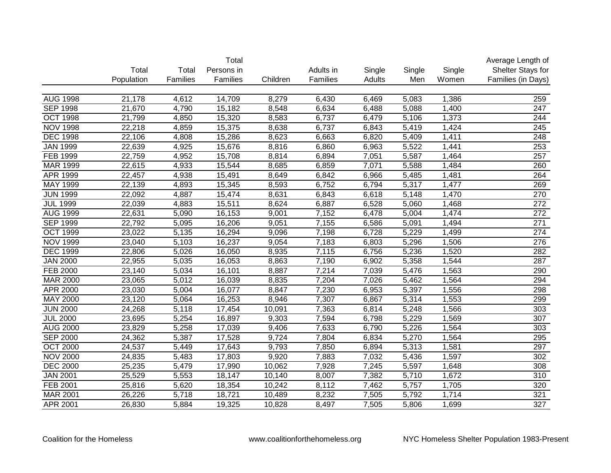|                 |            |          | Total      |          |           |        |        |        | Average Length of  |
|-----------------|------------|----------|------------|----------|-----------|--------|--------|--------|--------------------|
|                 | Total      | Total    | Persons in |          | Adults in | Single | Single | Single | Shelter Stays for  |
|                 | Population | Families | Families   | Children | Families  | Adults | Men    | Women  | Families (in Days) |
|                 |            |          |            |          |           |        |        |        |                    |
| <b>AUG 1998</b> | 21,178     | 4,612    | 14,709     | 8,279    | 6,430     | 6,469  | 5,083  | 1,386  | 259                |
| <b>SEP 1998</b> | 21,670     | 4,790    | 15,182     | 8,548    | 6,634     | 6,488  | 5,088  | 1,400  | 247                |
| <b>OCT 1998</b> | 21,799     | 4,850    | 15,320     | 8,583    | 6,737     | 6,479  | 5,106  | 1,373  | 244                |
| <b>NOV 1998</b> | 22,218     | 4,859    | 15,375     | 8,638    | 6,737     | 6,843  | 5,419  | 1,424  | 245                |
| <b>DEC 1998</b> | 22,106     | 4,808    | 15,286     | 8,623    | 6,663     | 6,820  | 5,409  | 1,411  | 248                |
| <b>JAN 1999</b> | 22,639     | 4,925    | 15,676     | 8,816    | 6,860     | 6,963  | 5,522  | 1,441  | 253                |
| <b>FEB 1999</b> | 22,759     | 4,952    | 15,708     | 8,814    | 6,894     | 7,051  | 5,587  | 1,464  | 257                |
| <b>MAR 1999</b> | 22,615     | 4,933    | 15,544     | 8,685    | 6,859     | 7,071  | 5,588  | 1,484  | 260                |
| <b>APR 1999</b> | 22,457     | 4,938    | 15,491     | 8,649    | 6,842     | 6,966  | 5,485  | 1,481  | 264                |
| MAY 1999        | 22,139     | 4,893    | 15,345     | 8,593    | 6,752     | 6,794  | 5,317  | 1,477  | 269                |
| <b>JUN 1999</b> | 22,092     | 4,887    | 15,474     | 8,631    | 6,843     | 6,618  | 5,148  | 1,470  | 270                |
| <b>JUL 1999</b> | 22,039     | 4,883    | 15,511     | 8,624    | 6,887     | 6,528  | 5,060  | 1,468  | 272                |
| <b>AUG 1999</b> | 22,631     | 5,090    | 16,153     | 9,001    | 7,152     | 6,478  | 5,004  | 1,474  | 272                |
| <b>SEP 1999</b> | 22,792     | 5,095    | 16,206     | 9,051    | 7,155     | 6,586  | 5,091  | 1,494  | 271                |
| <b>OCT 1999</b> | 23,022     | 5,135    | 16,294     | 9,096    | 7,198     | 6,728  | 5,229  | 1,499  | 274                |
| <b>NOV 1999</b> | 23,040     | 5,103    | 16,237     | 9,054    | 7,183     | 6,803  | 5,296  | 1,506  | 276                |
| <b>DEC 1999</b> | 22,806     | 5,026    | 16,050     | 8,935    | 7,115     | 6,756  | 5,236  | 1,520  | 282                |
| <b>JAN 2000</b> | 22,955     | 5,035    | 16,053     | 8,863    | 7,190     | 6,902  | 5,358  | 1,544  | 287                |
| FEB 2000        | 23,140     | 5,034    | 16,101     | 8,887    | 7,214     | 7,039  | 5,476  | 1,563  | 290                |
| <b>MAR 2000</b> | 23,065     | 5,012    | 16,039     | 8,835    | 7,204     | 7,026  | 5,462  | 1,564  | 294                |
| APR 2000        | 23,030     | 5,004    | 16,077     | 8,847    | 7,230     | 6,953  | 5,397  | 1,556  | 298                |
| MAY 2000        | 23,120     | 5,064    | 16,253     | 8,946    | 7,307     | 6,867  | 5,314  | 1,553  | 299                |
| <b>JUN 2000</b> | 24,268     | 5,118    | 17,454     | 10,091   | 7,363     | 6,814  | 5,248  | 1,566  | 303                |
| <b>JUL 2000</b> | 23,695     | 5,254    | 16,897     | 9,303    | 7,594     | 6,798  | 5,229  | 1,569  | 307                |
| <b>AUG 2000</b> | 23,829     | 5,258    | 17,039     | 9,406    | 7,633     | 6,790  | 5,226  | 1,564  | 303                |
| <b>SEP 2000</b> | 24,362     | 5,387    | 17,528     | 9,724    | 7,804     | 6,834  | 5,270  | 1,564  | 295                |
| <b>OCT 2000</b> | 24,537     | 5,449    | 17,643     | 9,793    | 7,850     | 6,894  | 5,313  | 1,581  | 297                |
| <b>NOV 2000</b> | 24,835     | 5,483    | 17,803     | 9,920    | 7,883     | 7,032  | 5,436  | 1,597  | 302                |
| <b>DEC 2000</b> | 25,235     | 5,479    | 17,990     | 10,062   | 7,928     | 7,245  | 5,597  | 1,648  | 308                |
| <b>JAN 2001</b> | 25,529     | 5,553    | 18,147     | 10,140   | 8,007     | 7,382  | 5,710  | 1,672  | 310                |
| <b>FEB 2001</b> | 25,816     | 5,620    | 18,354     | 10,242   | 8,112     | 7,462  | 5,757  | 1,705  | 320                |
| <b>MAR 2001</b> | 26,226     | 5,718    | 18,721     | 10,489   | 8,232     | 7,505  | 5,792  | 1,714  | 321                |
| APR 2001        | 26,830     | 5,884    | 19,325     | 10,828   | 8,497     | 7,505  | 5,806  | 1,699  | 327                |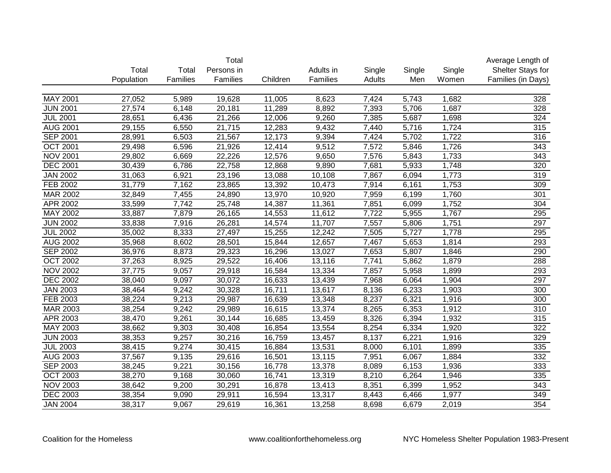|                 |            |          | Total      |          |           |        |        |        | Average Length of  |
|-----------------|------------|----------|------------|----------|-----------|--------|--------|--------|--------------------|
|                 | Total      | Total    | Persons in |          | Adults in | Single | Single | Single | Shelter Stays for  |
|                 | Population | Families | Families   | Children | Families  | Adults | Men    | Women  | Families (in Days) |
|                 |            |          |            |          |           |        |        |        |                    |
| <b>MAY 2001</b> | 27,052     | 5,989    | 19,628     | 11,005   | 8,623     | 7,424  | 5,743  | 1,682  | 328                |
| <b>JUN 2001</b> | 27,574     | 6,148    | 20,181     | 11,289   | 8,892     | 7,393  | 5,706  | 1,687  | 328                |
| <b>JUL 2001</b> | 28,651     | 6,436    | 21,266     | 12,006   | 9,260     | 7,385  | 5,687  | 1,698  | 324                |
| <b>AUG 2001</b> | 29,155     | 6,550    | 21,715     | 12,283   | 9,432     | 7,440  | 5,716  | 1,724  | 315                |
| <b>SEP 2001</b> | 28,991     | 6,503    | 21,567     | 12,173   | 9,394     | 7,424  | 5,702  | 1,722  | 316                |
| <b>OCT 2001</b> | 29,498     | 6,596    | 21,926     | 12,414   | 9,512     | 7,572  | 5,846  | 1,726  | 343                |
| <b>NOV 2001</b> | 29,802     | 6,669    | 22,226     | 12,576   | 9,650     | 7,576  | 5,843  | 1,733  | $\overline{343}$   |
| <b>DEC 2001</b> | 30,439     | 6,786    | 22,758     | 12,868   | 9,890     | 7,681  | 5,933  | 1,748  | $\overline{320}$   |
| <b>JAN 2002</b> | 31,063     | 6,921    | 23,196     | 13,088   | 10,108    | 7,867  | 6,094  | 1,773  | 319                |
| FEB 2002        | 31,779     | 7,162    | 23,865     | 13,392   | 10,473    | 7,914  | 6,161  | 1,753  | 309                |
| MAR 2002        | 32,849     | 7,455    | 24,890     | 13,970   | 10,920    | 7,959  | 6,199  | 1,760  | 301                |
| APR 2002        | 33,599     | 7,742    | 25,748     | 14,387   | 11,361    | 7,851  | 6,099  | 1,752  | 304                |
| MAY 2002        | 33,887     | 7,879    | 26,165     | 14,553   | 11,612    | 7,722  | 5,955  | 1,767  | 295                |
| <b>JUN 2002</b> | 33,838     | 7,916    | 26,281     | 14,574   | 11,707    | 7,557  | 5,806  | 1,751  | 297                |
| <b>JUL 2002</b> | 35,002     | 8,333    | 27,497     | 15,255   | 12,242    | 7,505  | 5,727  | 1,778  | 295                |
| <b>AUG 2002</b> | 35,968     | 8,602    | 28,501     | 15,844   | 12,657    | 7,467  | 5,653  | 1,814  | 293                |
| <b>SEP 2002</b> | 36,976     | 8,873    | 29,323     | 16,296   | 13,027    | 7,653  | 5,807  | 1,846  | 290                |
| <b>OCT 2002</b> | 37,263     | 8,925    | 29,522     | 16,406   | 13,116    | 7,741  | 5,862  | 1,879  | 288                |
| <b>NOV 2002</b> | 37,775     | 9,057    | 29,918     | 16,584   | 13,334    | 7,857  | 5,958  | 1,899  | 293                |
| <b>DEC 2002</b> | 38,040     | 9,097    | 30,072     | 16,633   | 13,439    | 7,968  | 6,064  | 1,904  | 297                |
| <b>JAN 2003</b> | 38,464     | 9,242    | 30,328     | 16,711   | 13,617    | 8,136  | 6,233  | 1,903  | 300                |
| FEB 2003        | 38,224     | 9,213    | 29,987     | 16,639   | 13,348    | 8,237  | 6,321  | 1,916  | 300                |
| MAR 2003        | 38,254     | 9,242    | 29,989     | 16,615   | 13,374    | 8,265  | 6,353  | 1,912  | $\overline{310}$   |
| APR 2003        | 38,470     | 9,261    | 30,144     | 16,685   | 13,459    | 8,326  | 6,394  | 1,932  | 315                |
| MAY 2003        | 38,662     | 9,303    | 30,408     | 16,854   | 13,554    | 8,254  | 6,334  | 1,920  | 322                |
| <b>JUN 2003</b> | 38,353     | 9,257    | 30,216     | 16,759   | 13,457    | 8,137  | 6,221  | 1,916  | 329                |
| <b>JUL 2003</b> | 38,415     | 9,274    | 30,415     | 16,884   | 13,531    | 8,000  | 6,101  | 1,899  | 335                |
| <b>AUG 2003</b> | 37,567     | 9,135    | 29,616     | 16,501   | 13,115    | 7,951  | 6,067  | 1,884  | 332                |
| <b>SEP 2003</b> | 38,245     | 9,221    | 30,156     | 16,778   | 13,378    | 8,089  | 6,153  | 1,936  | 333                |
| <b>OCT 2003</b> | 38,270     | 9,168    | 30,060     | 16,741   | 13,319    | 8,210  | 6,264  | 1,946  | 335                |
| <b>NOV 2003</b> | 38,642     | 9,200    | 30,291     | 16,878   | 13,413    | 8,351  | 6,399  | 1,952  | $\overline{343}$   |
| <b>DEC 2003</b> | 38,354     | 9,090    | 29,911     | 16,594   | 13,317    | 8,443  | 6,466  | 1,977  | 349                |
| <b>JAN 2004</b> | 38,317     | 9,067    | 29,619     | 16,361   | 13,258    | 8,698  | 6,679  | 2,019  | 354                |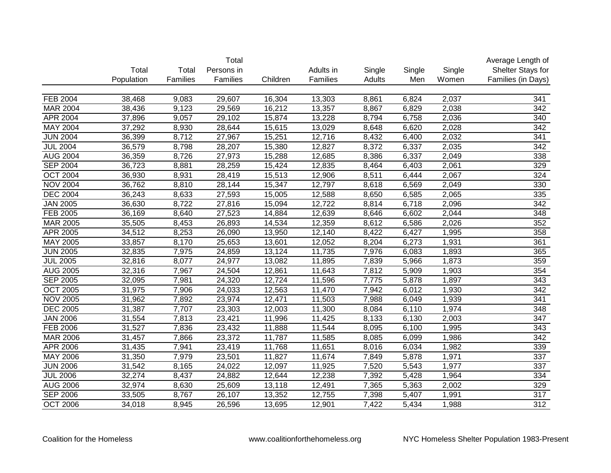|                 |            |          | Total      |          |           |        |        |        | Average Length of  |
|-----------------|------------|----------|------------|----------|-----------|--------|--------|--------|--------------------|
|                 | Total      | Total    | Persons in |          | Adults in | Single | Single | Single | Shelter Stays for  |
|                 | Population | Families | Families   | Children | Families  | Adults | Men    | Women  | Families (in Days) |
|                 |            |          |            |          |           |        |        |        |                    |
| <b>FEB 2004</b> | 38,468     | 9,083    | 29,607     | 16,304   | 13,303    | 8,861  | 6,824  | 2,037  | 341                |
| <b>MAR 2004</b> | 38,436     | 9,123    | 29,569     | 16,212   | 13,357    | 8,867  | 6,829  | 2,038  | 342                |
| APR 2004        | 37,896     | 9,057    | 29,102     | 15,874   | 13,228    | 8,794  | 6,758  | 2,036  | 340                |
| <b>MAY 2004</b> | 37,292     | 8,930    | 28,644     | 15,615   | 13,029    | 8,648  | 6,620  | 2,028  | 342                |
| <b>JUN 2004</b> | 36,399     | 8,712    | 27,967     | 15,251   | 12,716    | 8,432  | 6,400  | 2,032  | 341                |
| <b>JUL 2004</b> | 36,579     | 8,798    | 28,207     | 15,380   | 12,827    | 8,372  | 6,337  | 2,035  | 342                |
| <b>AUG 2004</b> | 36,359     | 8,726    | 27,973     | 15,288   | 12,685    | 8,386  | 6,337  | 2,049  | 338                |
| <b>SEP 2004</b> | 36,723     | 8,881    | 28,259     | 15,424   | 12,835    | 8,464  | 6,403  | 2,061  | 329                |
| <b>OCT 2004</b> | 36,930     | 8,931    | 28,419     | 15,513   | 12,906    | 8,511  | 6,444  | 2,067  | 324                |
| <b>NOV 2004</b> | 36,762     | 8,810    | 28,144     | 15,347   | 12,797    | 8,618  | 6,569  | 2,049  | 330                |
| <b>DEC 2004</b> | 36,243     | 8,633    | 27,593     | 15,005   | 12,588    | 8,650  | 6,585  | 2,065  | 335                |
| <b>JAN 2005</b> | 36,630     | 8,722    | 27,816     | 15,094   | 12,722    | 8,814  | 6,718  | 2,096  | 342                |
| FEB 2005        | 36,169     | 8,640    | 27,523     | 14,884   | 12,639    | 8,646  | 6,602  | 2,044  | 348                |
| MAR 2005        | 35,505     | 8,453    | 26,893     | 14,534   | 12,359    | 8,612  | 6,586  | 2,026  | 352                |
| APR 2005        | 34,512     | 8,253    | 26,090     | 13,950   | 12,140    | 8,422  | 6,427  | 1,995  | 358                |
| MAY 2005        | 33,857     | 8,170    | 25,653     | 13,601   | 12,052    | 8,204  | 6,273  | 1,931  | 361                |
| <b>JUN 2005</b> | 32,835     | 7,975    | 24,859     | 13,124   | 11,735    | 7,976  | 6,083  | 1,893  | 365                |
| <b>JUL 2005</b> | 32,816     | 8,077    | 24,977     | 13,082   | 11,895    | 7,839  | 5,966  | 1,873  | 359                |
| <b>AUG 2005</b> | 32,316     | 7,967    | 24,504     | 12,861   | 11,643    | 7,812  | 5,909  | 1,903  | 354                |
| <b>SEP 2005</b> | 32,095     | 7,981    | 24,320     | 12,724   | 11,596    | 7,775  | 5,878  | 1,897  | 343                |
| <b>OCT 2005</b> | 31,975     | 7,906    | 24,033     | 12,563   | 11,470    | 7,942  | 6,012  | 1,930  | 342                |
| <b>NOV 2005</b> | 31,962     | 7,892    | 23,974     | 12,471   | 11,503    | 7,988  | 6,049  | 1,939  | 341                |
| <b>DEC 2005</b> | 31,387     | 7,707    | 23,303     | 12,003   | 11,300    | 8,084  | 6,110  | 1,974  | 348                |
| <b>JAN 2006</b> | 31,554     | 7,813    | 23,421     | 11,996   | 11,425    | 8,133  | 6,130  | 2,003  | 347                |
| FEB 2006        | 31,527     | 7,836    | 23,432     | 11,888   | 11,544    | 8,095  | 6,100  | 1,995  | 343                |
| MAR 2006        | 31,457     | 7,866    | 23,372     | 11,787   | 11,585    | 8,085  | 6,099  | 1,986  | 342                |
| APR 2006        | 31,435     | 7,941    | 23,419     | 11,768   | 11,651    | 8,016  | 6,034  | 1,982  | 339                |
| <b>MAY 2006</b> | 31,350     | 7,979    | 23,501     | 11,827   | 11,674    | 7,849  | 5,878  | 1,971  | 337                |
| <b>JUN 2006</b> | 31,542     | 8,165    | 24,022     | 12,097   | 11,925    | 7,520  | 5,543  | 1,977  | 337                |
| <b>JUL 2006</b> | 32,274     | 8,437    | 24,882     | 12,644   | 12,238    | 7,392  | 5,428  | 1,964  | 334                |
| <b>AUG 2006</b> | 32,974     | 8,630    | 25,609     | 13,118   | 12,491    | 7,365  | 5,363  | 2,002  | 329                |
| <b>SEP 2006</b> | 33,505     | 8,767    | 26,107     | 13,352   | 12,755    | 7,398  | 5,407  | 1,991  | 317                |
| <b>OCT 2006</b> | 34,018     | 8,945    | 26,596     | 13,695   | 12,901    | 7,422  | 5,434  | 1,988  | $\overline{312}$   |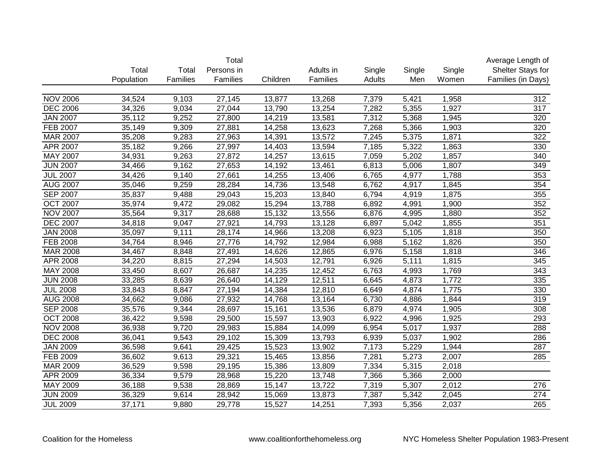|                 |            |          | Total               |          |           |        |        |        | Average Length of  |
|-----------------|------------|----------|---------------------|----------|-----------|--------|--------|--------|--------------------|
|                 | Total      | Total    | Persons in          |          | Adults in | Single | Single | Single | Shelter Stays for  |
|                 | Population | Families | Families            | Children | Families  | Adults | Men    | Women  | Families (in Days) |
|                 |            |          |                     |          |           |        |        |        |                    |
| <b>NOV 2006</b> | 34,524     | 9,103    | 27,145              | 13,877   | 13,268    | 7,379  | 5,421  | 1,958  | 312                |
| <b>DEC 2006</b> | 34,326     | 9,034    | 27,044              | 13,790   | 13,254    | 7,282  | 5,355  | 1,927  | 317                |
| <b>JAN 2007</b> | 35,112     | 9,252    | 27,800              | 14,219   | 13,581    | 7,312  | 5,368  | 1,945  | 320                |
| <b>FEB 2007</b> | 35,149     | 9,309    | 27,881              | 14,258   | 13,623    | 7,268  | 5,366  | 1,903  | 320                |
| <b>MAR 2007</b> | 35,208     | 9,283    | 27,963              | 14,391   | 13,572    | 7,245  | 5,375  | 1,871  | $\overline{322}$   |
| APR 2007        | 35,182     | 9,266    | 27,997              | 14,403   | 13,594    | 7,185  | 5,322  | 1,863  | 330                |
| <b>MAY 2007</b> | 34,931     | 9,263    | 27,872              | 14,257   | 13,615    | 7,059  | 5,202  | 1,857  | 340                |
| <b>JUN 2007</b> | 34,466     | 9,162    | 27,653              | 14,192   | 13,461    | 6,813  | 5,006  | 1,807  | 349                |
| <b>JUL 2007</b> | 34,426     | 9,140    | 27,661              | 14,255   | 13,406    | 6,765  | 4,977  | 1,788  | 353                |
| <b>AUG 2007</b> | 35,046     | 9,259    | 28,284              | 14,736   | 13,548    | 6,762  | 4,917  | 1,845  | 354                |
| <b>SEP 2007</b> | 35,837     | 9,488    | 29,043              | 15,203   | 13,840    | 6,794  | 4,919  | 1,875  | 355                |
| <b>OCT 2007</b> | 35,974     | 9,472    | 29,082              | 15,294   | 13,788    | 6,892  | 4,991  | 1,900  | 352                |
| <b>NOV 2007</b> | 35,564     | 9,317    | 28,688              | 15,132   | 13,556    | 6,876  | 4,995  | 1,880  | 352                |
| <b>DEC 2007</b> | 34,818     | 9,047    | 27,921              | 14,793   | 13,128    | 6,897  | 5,042  | 1,855  | 351                |
| <b>JAN 2008</b> | 35,097     | 9,111    | 28,174              | 14,966   | 13,208    | 6,923  | 5,105  | 1,818  | 350                |
| FEB 2008        | 34,764     | 8,946    | 27,776              | 14,792   | 12,984    | 6,988  | 5,162  | 1,826  | 350                |
| MAR 2008        | 34,467     | 8,848    | 27,491              | 14,626   | 12,865    | 6,976  | 5,158  | 1,818  | 346                |
| APR 2008        | 34,220     | 8,815    | $\overline{27,294}$ | 14,503   | 12,791    | 6,926  | 5,111  | 1,815  | 345                |
| MAY 2008        | 33,450     | 8,607    | 26,687              | 14,235   | 12,452    | 6,763  | 4,993  | 1,769  | 343                |
| <b>JUN 2008</b> | 33,285     | 8,639    | 26,640              | 14,129   | 12,511    | 6,645  | 4,873  | 1,772  | 335                |
| <b>JUL 2008</b> | 33,843     | 8,847    | 27,194              | 14,384   | 12,810    | 6,649  | 4,874  | 1,775  | 330                |
| <b>AUG 2008</b> | 34,662     | 9,086    | 27,932              | 14,768   | 13,164    | 6,730  | 4,886  | 1,844  | 319                |
| <b>SEP 2008</b> | 35,576     | 9,344    | 28,697              | 15,161   | 13,536    | 6,879  | 4,974  | 1,905  | 308                |
| <b>OCT 2008</b> | 36,422     | 9,598    | 29,500              | 15,597   | 13,903    | 6,922  | 4,996  | 1,925  | 293                |
| <b>NOV 2008</b> | 36,938     | 9,720    | 29,983              | 15,884   | 14,099    | 6,954  | 5,017  | 1,937  | 288                |
| <b>DEC</b> 2008 | 36,041     | 9,543    | 29,102              | 15,309   | 13,793    | 6,939  | 5,037  | 1,902  | 286                |
| <b>JAN 2009</b> | 36,598     | 9,641    | 29,425              | 15,523   | 13,902    | 7,173  | 5,229  | 1,944  | 287                |
| <b>FEB 2009</b> | 36,602     | 9,613    | 29,321              | 15,465   | 13,856    | 7,281  | 5,273  | 2,007  | 285                |
| MAR 2009        | 36,529     | 9,598    | 29,195              | 15,386   | 13,809    | 7,334  | 5,315  | 2,018  |                    |
| <b>APR 2009</b> | 36,334     | 9,579    | 28,968              | 15,220   | 13,748    | 7,366  | 5,366  | 2,000  |                    |
| <b>MAY 2009</b> | 36,188     | 9,538    | 28,869              | 15,147   | 13,722    | 7,319  | 5,307  | 2,012  | 276                |
| <b>JUN 2009</b> | 36,329     | 9,614    | 28,942              | 15,069   | 13,873    | 7,387  | 5,342  | 2,045  | 274                |
| <b>JUL 2009</b> | 37,171     | 9,880    | 29,778              | 15,527   | 14,251    | 7,393  | 5,356  | 2,037  | $\overline{265}$   |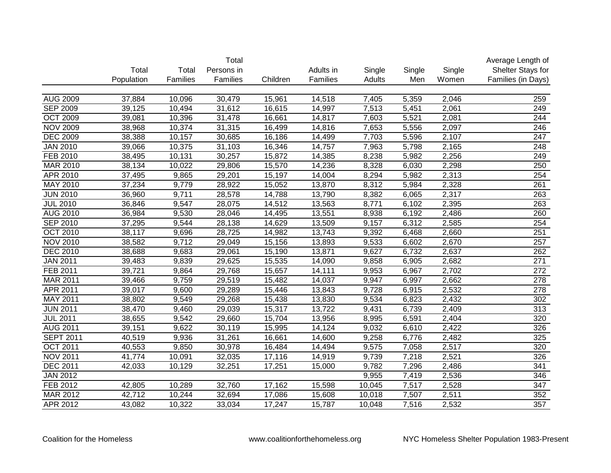| Persons in<br>Single<br>Total<br>Total<br>Adults in<br>Single<br>Single<br>Population<br>Families<br>Families<br>Children<br>Families<br>Adults<br>Men<br>Women<br><b>AUG 2009</b><br>37,884<br>10,096<br>5,359<br>2,046<br>30,479<br>15,961<br>14,518<br>7,405<br>259<br><b>SEP 2009</b><br>39,125<br>31,612<br>16,615<br>14,997<br>7,513<br>5,451<br>2,061<br>249<br>10,494<br>5,521<br>2,081<br>244<br><b>OCT 2009</b><br>39,081<br>10,396<br>31,478<br>16,661<br>14,817<br>7,603<br><b>NOV 2009</b><br>10,374<br>31,315<br>5,556<br>2,097<br>246<br>38,968<br>16,499<br>14,816<br>7,653<br><b>DEC 2009</b><br>38,388<br>10,157<br>30,685<br>16,186<br>5,596<br>2,107<br>$\overline{247}$<br>14,499<br>7,703<br><b>JAN 2010</b><br>10,375<br>248<br>39,066<br>31,103<br>16,346<br>14,757<br>7,963<br>5,798<br>2,165<br><b>FEB 2010</b><br>30,257<br>249<br>38,495<br>10,131<br>15,872<br>14,385<br>8,238<br>5,982<br>2,256<br><b>MAR 2010</b><br>38,134<br>10,022<br>15,570<br>250<br>29,806<br>14,236<br>8,328<br>6,030<br>2,298<br>254<br>APR 2010<br>37,495<br>9,865<br>29,201<br>15,197<br>14,004<br>8,294<br>5,982<br>2,313<br>MAY 2010<br>261<br>37,234<br>9,779<br>28,922<br>15,052<br>13,870<br>8,312<br>5,984<br>2,328<br>263<br><b>JUN 2010</b><br>36,960<br>9,711<br>28,578<br>14,788<br>13,790<br>8,382<br>6,065<br>2,317<br>263<br><b>JUL 2010</b><br>36,846<br>9,547<br>28,075<br>14,512<br>13,563<br>8,771<br>6,102<br>2,395<br>260<br>AUG 2010<br>36,984<br>9,530<br>28,046<br>14,495<br>13,551<br>6,192<br>2,486<br>8,938<br>254<br><b>SEP 2010</b><br>37,295<br>9,544<br>28,138<br>14,629<br>13,509<br>6,312<br>2,585<br>9,157<br>251<br><b>OCT 2010</b><br>38,117<br>9,696<br>28,725<br>13,743<br>6,468<br>2,660<br>14,982<br>9,392<br>257<br><b>NOV 2010</b><br>38,582<br>9,712<br>15,156<br>13,893<br>9,533<br>6,602<br>2,670<br>29,049<br><b>DEC 2010</b><br>262<br>38,688<br>9,683<br>13,871<br>9,627<br>6,732<br>2,637<br>29,061<br>15,190<br>2,682<br>271<br><b>JAN 2011</b><br>39,483<br>9,839<br>29,625<br>15,535<br>14,090<br>9,858<br>6,905<br>FEB 2011<br>39,721<br>15,657<br>272<br>9,864<br>29,768<br>14,111<br>9,953<br>6,967<br>2,702<br><b>MAR 2011</b><br>2,662<br>278<br>39,466<br>9,759<br>29,519<br>15,482<br>14,037<br>9,947<br>6,997<br>39,017<br>278<br>APR 2011<br>9,600<br>29,289<br>15,446<br>13,843<br>9,728<br>6,915<br>2,532<br>MAY 2011<br>302<br>38,802<br>9,549<br>29,268<br>15,438<br>13,830<br>9,534<br>6,823<br>2,432<br>15,317<br>313<br><b>JUN 2011</b><br>38,470<br>9,460<br>29,039<br>13,722<br>9,431<br>6,739<br>2,409<br><b>JUL 2011</b><br>38,655<br>9,542<br>29,660<br>15,704<br>13,956<br>8,995<br>6,591<br>2,404<br>320<br><b>AUG 2011</b><br>39,151<br>9,622<br>30,119<br>15,995<br>14,124<br>9,032<br>6,610<br>2,422<br>326<br><b>SEPT 2011</b><br>325<br>40,519<br>9,936<br>31,261<br>16,661<br>14,600<br>9,258<br>6,776<br>2,482<br><b>OCT 2011</b><br>40,553<br>30,978<br>16,484<br>9,575<br>2,517<br>320<br>9,850<br>14,494<br>7,058<br><b>NOV 2011</b><br>41,774<br>17,116<br>2,521<br>326<br>10,091<br>32,035<br>14,919<br>9,739<br>7,218<br><b>DEC 2011</b><br>341<br>32,251<br>17,251<br>15,000<br>9,782<br>7,296<br>42,033<br>10,129<br>2,486<br><b>JAN 2012</b><br>9,955<br>2,536<br>346<br>7,419<br><b>FEB 2012</b><br>$\overline{347}$<br>42,805<br>10,289<br>32,760<br>17,162<br>15,598<br>7,517<br>2,528<br>10,045<br><b>MAR 2012</b><br>352<br>42,712<br>10,244<br>17,086<br>15,608<br>7,507<br>2,511<br>32,694<br>10,018<br>357<br><b>APR 2012</b><br>33,034<br>15,787<br>2,532<br>43,082<br>10,322<br>17,247<br>10,048<br>7,516 |  | Total |  |  | Average Length of  |
|-----------------------------------------------------------------------------------------------------------------------------------------------------------------------------------------------------------------------------------------------------------------------------------------------------------------------------------------------------------------------------------------------------------------------------------------------------------------------------------------------------------------------------------------------------------------------------------------------------------------------------------------------------------------------------------------------------------------------------------------------------------------------------------------------------------------------------------------------------------------------------------------------------------------------------------------------------------------------------------------------------------------------------------------------------------------------------------------------------------------------------------------------------------------------------------------------------------------------------------------------------------------------------------------------------------------------------------------------------------------------------------------------------------------------------------------------------------------------------------------------------------------------------------------------------------------------------------------------------------------------------------------------------------------------------------------------------------------------------------------------------------------------------------------------------------------------------------------------------------------------------------------------------------------------------------------------------------------------------------------------------------------------------------------------------------------------------------------------------------------------------------------------------------------------------------------------------------------------------------------------------------------------------------------------------------------------------------------------------------------------------------------------------------------------------------------------------------------------------------------------------------------------------------------------------------------------------------------------------------------------------------------------------------------------------------------------------------------------------------------------------------------------------------------------------------------------------------------------------------------------------------------------------------------------------------------------------------------------------------------------------------------------------------------------------------------------------------------------------------------------------------------------------------------------------------------------------------------------------------------------------------------------------------------------------------------------------------------------------------------------------------------------------------------------------------------------------------------------------------------------------------------------------------------------------------------------------------------------------------------------|--|-------|--|--|--------------------|
|                                                                                                                                                                                                                                                                                                                                                                                                                                                                                                                                                                                                                                                                                                                                                                                                                                                                                                                                                                                                                                                                                                                                                                                                                                                                                                                                                                                                                                                                                                                                                                                                                                                                                                                                                                                                                                                                                                                                                                                                                                                                                                                                                                                                                                                                                                                                                                                                                                                                                                                                                                                                                                                                                                                                                                                                                                                                                                                                                                                                                                                                                                                                                                                                                                                                                                                                                                                                                                                                                                                                                                                                                       |  |       |  |  | Shelter Stays for  |
|                                                                                                                                                                                                                                                                                                                                                                                                                                                                                                                                                                                                                                                                                                                                                                                                                                                                                                                                                                                                                                                                                                                                                                                                                                                                                                                                                                                                                                                                                                                                                                                                                                                                                                                                                                                                                                                                                                                                                                                                                                                                                                                                                                                                                                                                                                                                                                                                                                                                                                                                                                                                                                                                                                                                                                                                                                                                                                                                                                                                                                                                                                                                                                                                                                                                                                                                                                                                                                                                                                                                                                                                                       |  |       |  |  | Families (in Days) |
|                                                                                                                                                                                                                                                                                                                                                                                                                                                                                                                                                                                                                                                                                                                                                                                                                                                                                                                                                                                                                                                                                                                                                                                                                                                                                                                                                                                                                                                                                                                                                                                                                                                                                                                                                                                                                                                                                                                                                                                                                                                                                                                                                                                                                                                                                                                                                                                                                                                                                                                                                                                                                                                                                                                                                                                                                                                                                                                                                                                                                                                                                                                                                                                                                                                                                                                                                                                                                                                                                                                                                                                                                       |  |       |  |  |                    |
|                                                                                                                                                                                                                                                                                                                                                                                                                                                                                                                                                                                                                                                                                                                                                                                                                                                                                                                                                                                                                                                                                                                                                                                                                                                                                                                                                                                                                                                                                                                                                                                                                                                                                                                                                                                                                                                                                                                                                                                                                                                                                                                                                                                                                                                                                                                                                                                                                                                                                                                                                                                                                                                                                                                                                                                                                                                                                                                                                                                                                                                                                                                                                                                                                                                                                                                                                                                                                                                                                                                                                                                                                       |  |       |  |  |                    |
|                                                                                                                                                                                                                                                                                                                                                                                                                                                                                                                                                                                                                                                                                                                                                                                                                                                                                                                                                                                                                                                                                                                                                                                                                                                                                                                                                                                                                                                                                                                                                                                                                                                                                                                                                                                                                                                                                                                                                                                                                                                                                                                                                                                                                                                                                                                                                                                                                                                                                                                                                                                                                                                                                                                                                                                                                                                                                                                                                                                                                                                                                                                                                                                                                                                                                                                                                                                                                                                                                                                                                                                                                       |  |       |  |  |                    |
|                                                                                                                                                                                                                                                                                                                                                                                                                                                                                                                                                                                                                                                                                                                                                                                                                                                                                                                                                                                                                                                                                                                                                                                                                                                                                                                                                                                                                                                                                                                                                                                                                                                                                                                                                                                                                                                                                                                                                                                                                                                                                                                                                                                                                                                                                                                                                                                                                                                                                                                                                                                                                                                                                                                                                                                                                                                                                                                                                                                                                                                                                                                                                                                                                                                                                                                                                                                                                                                                                                                                                                                                                       |  |       |  |  |                    |
|                                                                                                                                                                                                                                                                                                                                                                                                                                                                                                                                                                                                                                                                                                                                                                                                                                                                                                                                                                                                                                                                                                                                                                                                                                                                                                                                                                                                                                                                                                                                                                                                                                                                                                                                                                                                                                                                                                                                                                                                                                                                                                                                                                                                                                                                                                                                                                                                                                                                                                                                                                                                                                                                                                                                                                                                                                                                                                                                                                                                                                                                                                                                                                                                                                                                                                                                                                                                                                                                                                                                                                                                                       |  |       |  |  |                    |
|                                                                                                                                                                                                                                                                                                                                                                                                                                                                                                                                                                                                                                                                                                                                                                                                                                                                                                                                                                                                                                                                                                                                                                                                                                                                                                                                                                                                                                                                                                                                                                                                                                                                                                                                                                                                                                                                                                                                                                                                                                                                                                                                                                                                                                                                                                                                                                                                                                                                                                                                                                                                                                                                                                                                                                                                                                                                                                                                                                                                                                                                                                                                                                                                                                                                                                                                                                                                                                                                                                                                                                                                                       |  |       |  |  |                    |
|                                                                                                                                                                                                                                                                                                                                                                                                                                                                                                                                                                                                                                                                                                                                                                                                                                                                                                                                                                                                                                                                                                                                                                                                                                                                                                                                                                                                                                                                                                                                                                                                                                                                                                                                                                                                                                                                                                                                                                                                                                                                                                                                                                                                                                                                                                                                                                                                                                                                                                                                                                                                                                                                                                                                                                                                                                                                                                                                                                                                                                                                                                                                                                                                                                                                                                                                                                                                                                                                                                                                                                                                                       |  |       |  |  |                    |
|                                                                                                                                                                                                                                                                                                                                                                                                                                                                                                                                                                                                                                                                                                                                                                                                                                                                                                                                                                                                                                                                                                                                                                                                                                                                                                                                                                                                                                                                                                                                                                                                                                                                                                                                                                                                                                                                                                                                                                                                                                                                                                                                                                                                                                                                                                                                                                                                                                                                                                                                                                                                                                                                                                                                                                                                                                                                                                                                                                                                                                                                                                                                                                                                                                                                                                                                                                                                                                                                                                                                                                                                                       |  |       |  |  |                    |
|                                                                                                                                                                                                                                                                                                                                                                                                                                                                                                                                                                                                                                                                                                                                                                                                                                                                                                                                                                                                                                                                                                                                                                                                                                                                                                                                                                                                                                                                                                                                                                                                                                                                                                                                                                                                                                                                                                                                                                                                                                                                                                                                                                                                                                                                                                                                                                                                                                                                                                                                                                                                                                                                                                                                                                                                                                                                                                                                                                                                                                                                                                                                                                                                                                                                                                                                                                                                                                                                                                                                                                                                                       |  |       |  |  |                    |
|                                                                                                                                                                                                                                                                                                                                                                                                                                                                                                                                                                                                                                                                                                                                                                                                                                                                                                                                                                                                                                                                                                                                                                                                                                                                                                                                                                                                                                                                                                                                                                                                                                                                                                                                                                                                                                                                                                                                                                                                                                                                                                                                                                                                                                                                                                                                                                                                                                                                                                                                                                                                                                                                                                                                                                                                                                                                                                                                                                                                                                                                                                                                                                                                                                                                                                                                                                                                                                                                                                                                                                                                                       |  |       |  |  |                    |
|                                                                                                                                                                                                                                                                                                                                                                                                                                                                                                                                                                                                                                                                                                                                                                                                                                                                                                                                                                                                                                                                                                                                                                                                                                                                                                                                                                                                                                                                                                                                                                                                                                                                                                                                                                                                                                                                                                                                                                                                                                                                                                                                                                                                                                                                                                                                                                                                                                                                                                                                                                                                                                                                                                                                                                                                                                                                                                                                                                                                                                                                                                                                                                                                                                                                                                                                                                                                                                                                                                                                                                                                                       |  |       |  |  |                    |
|                                                                                                                                                                                                                                                                                                                                                                                                                                                                                                                                                                                                                                                                                                                                                                                                                                                                                                                                                                                                                                                                                                                                                                                                                                                                                                                                                                                                                                                                                                                                                                                                                                                                                                                                                                                                                                                                                                                                                                                                                                                                                                                                                                                                                                                                                                                                                                                                                                                                                                                                                                                                                                                                                                                                                                                                                                                                                                                                                                                                                                                                                                                                                                                                                                                                                                                                                                                                                                                                                                                                                                                                                       |  |       |  |  |                    |
|                                                                                                                                                                                                                                                                                                                                                                                                                                                                                                                                                                                                                                                                                                                                                                                                                                                                                                                                                                                                                                                                                                                                                                                                                                                                                                                                                                                                                                                                                                                                                                                                                                                                                                                                                                                                                                                                                                                                                                                                                                                                                                                                                                                                                                                                                                                                                                                                                                                                                                                                                                                                                                                                                                                                                                                                                                                                                                                                                                                                                                                                                                                                                                                                                                                                                                                                                                                                                                                                                                                                                                                                                       |  |       |  |  |                    |
|                                                                                                                                                                                                                                                                                                                                                                                                                                                                                                                                                                                                                                                                                                                                                                                                                                                                                                                                                                                                                                                                                                                                                                                                                                                                                                                                                                                                                                                                                                                                                                                                                                                                                                                                                                                                                                                                                                                                                                                                                                                                                                                                                                                                                                                                                                                                                                                                                                                                                                                                                                                                                                                                                                                                                                                                                                                                                                                                                                                                                                                                                                                                                                                                                                                                                                                                                                                                                                                                                                                                                                                                                       |  |       |  |  |                    |
|                                                                                                                                                                                                                                                                                                                                                                                                                                                                                                                                                                                                                                                                                                                                                                                                                                                                                                                                                                                                                                                                                                                                                                                                                                                                                                                                                                                                                                                                                                                                                                                                                                                                                                                                                                                                                                                                                                                                                                                                                                                                                                                                                                                                                                                                                                                                                                                                                                                                                                                                                                                                                                                                                                                                                                                                                                                                                                                                                                                                                                                                                                                                                                                                                                                                                                                                                                                                                                                                                                                                                                                                                       |  |       |  |  |                    |
|                                                                                                                                                                                                                                                                                                                                                                                                                                                                                                                                                                                                                                                                                                                                                                                                                                                                                                                                                                                                                                                                                                                                                                                                                                                                                                                                                                                                                                                                                                                                                                                                                                                                                                                                                                                                                                                                                                                                                                                                                                                                                                                                                                                                                                                                                                                                                                                                                                                                                                                                                                                                                                                                                                                                                                                                                                                                                                                                                                                                                                                                                                                                                                                                                                                                                                                                                                                                                                                                                                                                                                                                                       |  |       |  |  |                    |
|                                                                                                                                                                                                                                                                                                                                                                                                                                                                                                                                                                                                                                                                                                                                                                                                                                                                                                                                                                                                                                                                                                                                                                                                                                                                                                                                                                                                                                                                                                                                                                                                                                                                                                                                                                                                                                                                                                                                                                                                                                                                                                                                                                                                                                                                                                                                                                                                                                                                                                                                                                                                                                                                                                                                                                                                                                                                                                                                                                                                                                                                                                                                                                                                                                                                                                                                                                                                                                                                                                                                                                                                                       |  |       |  |  |                    |
|                                                                                                                                                                                                                                                                                                                                                                                                                                                                                                                                                                                                                                                                                                                                                                                                                                                                                                                                                                                                                                                                                                                                                                                                                                                                                                                                                                                                                                                                                                                                                                                                                                                                                                                                                                                                                                                                                                                                                                                                                                                                                                                                                                                                                                                                                                                                                                                                                                                                                                                                                                                                                                                                                                                                                                                                                                                                                                                                                                                                                                                                                                                                                                                                                                                                                                                                                                                                                                                                                                                                                                                                                       |  |       |  |  |                    |
|                                                                                                                                                                                                                                                                                                                                                                                                                                                                                                                                                                                                                                                                                                                                                                                                                                                                                                                                                                                                                                                                                                                                                                                                                                                                                                                                                                                                                                                                                                                                                                                                                                                                                                                                                                                                                                                                                                                                                                                                                                                                                                                                                                                                                                                                                                                                                                                                                                                                                                                                                                                                                                                                                                                                                                                                                                                                                                                                                                                                                                                                                                                                                                                                                                                                                                                                                                                                                                                                                                                                                                                                                       |  |       |  |  |                    |
|                                                                                                                                                                                                                                                                                                                                                                                                                                                                                                                                                                                                                                                                                                                                                                                                                                                                                                                                                                                                                                                                                                                                                                                                                                                                                                                                                                                                                                                                                                                                                                                                                                                                                                                                                                                                                                                                                                                                                                                                                                                                                                                                                                                                                                                                                                                                                                                                                                                                                                                                                                                                                                                                                                                                                                                                                                                                                                                                                                                                                                                                                                                                                                                                                                                                                                                                                                                                                                                                                                                                                                                                                       |  |       |  |  |                    |
|                                                                                                                                                                                                                                                                                                                                                                                                                                                                                                                                                                                                                                                                                                                                                                                                                                                                                                                                                                                                                                                                                                                                                                                                                                                                                                                                                                                                                                                                                                                                                                                                                                                                                                                                                                                                                                                                                                                                                                                                                                                                                                                                                                                                                                                                                                                                                                                                                                                                                                                                                                                                                                                                                                                                                                                                                                                                                                                                                                                                                                                                                                                                                                                                                                                                                                                                                                                                                                                                                                                                                                                                                       |  |       |  |  |                    |
|                                                                                                                                                                                                                                                                                                                                                                                                                                                                                                                                                                                                                                                                                                                                                                                                                                                                                                                                                                                                                                                                                                                                                                                                                                                                                                                                                                                                                                                                                                                                                                                                                                                                                                                                                                                                                                                                                                                                                                                                                                                                                                                                                                                                                                                                                                                                                                                                                                                                                                                                                                                                                                                                                                                                                                                                                                                                                                                                                                                                                                                                                                                                                                                                                                                                                                                                                                                                                                                                                                                                                                                                                       |  |       |  |  |                    |
|                                                                                                                                                                                                                                                                                                                                                                                                                                                                                                                                                                                                                                                                                                                                                                                                                                                                                                                                                                                                                                                                                                                                                                                                                                                                                                                                                                                                                                                                                                                                                                                                                                                                                                                                                                                                                                                                                                                                                                                                                                                                                                                                                                                                                                                                                                                                                                                                                                                                                                                                                                                                                                                                                                                                                                                                                                                                                                                                                                                                                                                                                                                                                                                                                                                                                                                                                                                                                                                                                                                                                                                                                       |  |       |  |  |                    |
|                                                                                                                                                                                                                                                                                                                                                                                                                                                                                                                                                                                                                                                                                                                                                                                                                                                                                                                                                                                                                                                                                                                                                                                                                                                                                                                                                                                                                                                                                                                                                                                                                                                                                                                                                                                                                                                                                                                                                                                                                                                                                                                                                                                                                                                                                                                                                                                                                                                                                                                                                                                                                                                                                                                                                                                                                                                                                                                                                                                                                                                                                                                                                                                                                                                                                                                                                                                                                                                                                                                                                                                                                       |  |       |  |  |                    |
|                                                                                                                                                                                                                                                                                                                                                                                                                                                                                                                                                                                                                                                                                                                                                                                                                                                                                                                                                                                                                                                                                                                                                                                                                                                                                                                                                                                                                                                                                                                                                                                                                                                                                                                                                                                                                                                                                                                                                                                                                                                                                                                                                                                                                                                                                                                                                                                                                                                                                                                                                                                                                                                                                                                                                                                                                                                                                                                                                                                                                                                                                                                                                                                                                                                                                                                                                                                                                                                                                                                                                                                                                       |  |       |  |  |                    |
|                                                                                                                                                                                                                                                                                                                                                                                                                                                                                                                                                                                                                                                                                                                                                                                                                                                                                                                                                                                                                                                                                                                                                                                                                                                                                                                                                                                                                                                                                                                                                                                                                                                                                                                                                                                                                                                                                                                                                                                                                                                                                                                                                                                                                                                                                                                                                                                                                                                                                                                                                                                                                                                                                                                                                                                                                                                                                                                                                                                                                                                                                                                                                                                                                                                                                                                                                                                                                                                                                                                                                                                                                       |  |       |  |  |                    |
|                                                                                                                                                                                                                                                                                                                                                                                                                                                                                                                                                                                                                                                                                                                                                                                                                                                                                                                                                                                                                                                                                                                                                                                                                                                                                                                                                                                                                                                                                                                                                                                                                                                                                                                                                                                                                                                                                                                                                                                                                                                                                                                                                                                                                                                                                                                                                                                                                                                                                                                                                                                                                                                                                                                                                                                                                                                                                                                                                                                                                                                                                                                                                                                                                                                                                                                                                                                                                                                                                                                                                                                                                       |  |       |  |  |                    |
|                                                                                                                                                                                                                                                                                                                                                                                                                                                                                                                                                                                                                                                                                                                                                                                                                                                                                                                                                                                                                                                                                                                                                                                                                                                                                                                                                                                                                                                                                                                                                                                                                                                                                                                                                                                                                                                                                                                                                                                                                                                                                                                                                                                                                                                                                                                                                                                                                                                                                                                                                                                                                                                                                                                                                                                                                                                                                                                                                                                                                                                                                                                                                                                                                                                                                                                                                                                                                                                                                                                                                                                                                       |  |       |  |  |                    |
|                                                                                                                                                                                                                                                                                                                                                                                                                                                                                                                                                                                                                                                                                                                                                                                                                                                                                                                                                                                                                                                                                                                                                                                                                                                                                                                                                                                                                                                                                                                                                                                                                                                                                                                                                                                                                                                                                                                                                                                                                                                                                                                                                                                                                                                                                                                                                                                                                                                                                                                                                                                                                                                                                                                                                                                                                                                                                                                                                                                                                                                                                                                                                                                                                                                                                                                                                                                                                                                                                                                                                                                                                       |  |       |  |  |                    |
|                                                                                                                                                                                                                                                                                                                                                                                                                                                                                                                                                                                                                                                                                                                                                                                                                                                                                                                                                                                                                                                                                                                                                                                                                                                                                                                                                                                                                                                                                                                                                                                                                                                                                                                                                                                                                                                                                                                                                                                                                                                                                                                                                                                                                                                                                                                                                                                                                                                                                                                                                                                                                                                                                                                                                                                                                                                                                                                                                                                                                                                                                                                                                                                                                                                                                                                                                                                                                                                                                                                                                                                                                       |  |       |  |  |                    |
|                                                                                                                                                                                                                                                                                                                                                                                                                                                                                                                                                                                                                                                                                                                                                                                                                                                                                                                                                                                                                                                                                                                                                                                                                                                                                                                                                                                                                                                                                                                                                                                                                                                                                                                                                                                                                                                                                                                                                                                                                                                                                                                                                                                                                                                                                                                                                                                                                                                                                                                                                                                                                                                                                                                                                                                                                                                                                                                                                                                                                                                                                                                                                                                                                                                                                                                                                                                                                                                                                                                                                                                                                       |  |       |  |  |                    |
|                                                                                                                                                                                                                                                                                                                                                                                                                                                                                                                                                                                                                                                                                                                                                                                                                                                                                                                                                                                                                                                                                                                                                                                                                                                                                                                                                                                                                                                                                                                                                                                                                                                                                                                                                                                                                                                                                                                                                                                                                                                                                                                                                                                                                                                                                                                                                                                                                                                                                                                                                                                                                                                                                                                                                                                                                                                                                                                                                                                                                                                                                                                                                                                                                                                                                                                                                                                                                                                                                                                                                                                                                       |  |       |  |  |                    |
|                                                                                                                                                                                                                                                                                                                                                                                                                                                                                                                                                                                                                                                                                                                                                                                                                                                                                                                                                                                                                                                                                                                                                                                                                                                                                                                                                                                                                                                                                                                                                                                                                                                                                                                                                                                                                                                                                                                                                                                                                                                                                                                                                                                                                                                                                                                                                                                                                                                                                                                                                                                                                                                                                                                                                                                                                                                                                                                                                                                                                                                                                                                                                                                                                                                                                                                                                                                                                                                                                                                                                                                                                       |  |       |  |  |                    |
|                                                                                                                                                                                                                                                                                                                                                                                                                                                                                                                                                                                                                                                                                                                                                                                                                                                                                                                                                                                                                                                                                                                                                                                                                                                                                                                                                                                                                                                                                                                                                                                                                                                                                                                                                                                                                                                                                                                                                                                                                                                                                                                                                                                                                                                                                                                                                                                                                                                                                                                                                                                                                                                                                                                                                                                                                                                                                                                                                                                                                                                                                                                                                                                                                                                                                                                                                                                                                                                                                                                                                                                                                       |  |       |  |  |                    |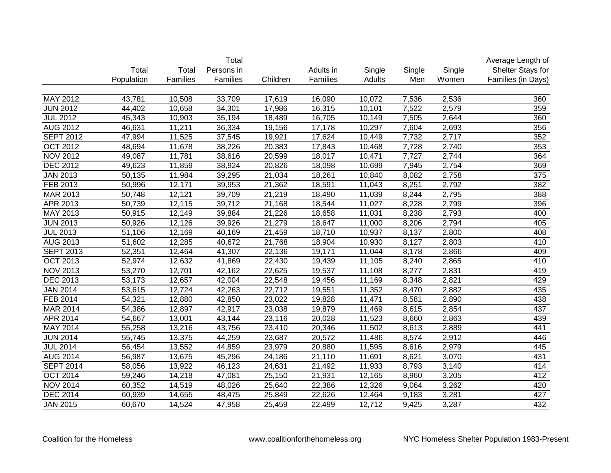|                  |            |          | Total      |          |           |        |        |        | Average Length of  |
|------------------|------------|----------|------------|----------|-----------|--------|--------|--------|--------------------|
|                  | Total      | Total    | Persons in |          | Adults in | Single | Single | Single | Shelter Stays for  |
|                  | Population | Families | Families   | Children | Families  | Adults | Men    | Women  | Families (in Days) |
|                  |            |          |            |          |           |        |        |        |                    |
| MAY 2012         | 43,781     | 10,508   | 33,709     | 17,619   | 16,090    | 10,072 | 7,536  | 2,536  | 360                |
| <b>JUN 2012</b>  | 44,402     | 10,658   | 34,301     | 17,986   | 16,315    | 10,101 | 7,522  | 2,579  | 359                |
| <b>JUL 2012</b>  | 45,343     | 10,903   | 35,194     | 18,489   | 16,705    | 10,149 | 7,505  | 2,644  | 360                |
| <b>AUG 2012</b>  | 46,631     | 11,211   | 36,334     | 19,156   | 17,178    | 10,297 | 7,604  | 2,693  | 356                |
| <b>SEPT 2012</b> | 47,994     | 11,525   | 37,545     | 19,921   | 17,624    | 10,449 | 7,732  | 2,717  | 352                |
| <b>OCT 2012</b>  | 48,694     | 11,678   | 38,226     | 20,383   | 17,843    | 10,468 | 7,728  | 2,740  | 353                |
| <b>NOV 2012</b>  | 49,087     | 11,781   | 38,616     | 20,599   | 18,017    | 10,471 | 7,727  | 2,744  | 364                |
| <b>DEC 2012</b>  | 49,623     | 11,859   | 38,924     | 20,826   | 18,098    | 10,699 | 7,945  | 2,754  | 369                |
| <b>JAN 2013</b>  | 50,135     | 11,984   | 39,295     | 21,034   | 18,261    | 10,840 | 8,082  | 2,758  | $\overline{375}$   |
| FEB 2013         | 50,996     | 12,171   | 39,953     | 21,362   | 18,591    | 11,043 | 8,251  | 2,792  | 382                |
| MAR 2013         | 50,748     | 12,121   | 39,709     | 21,219   | 18,490    | 11,039 | 8,244  | 2,795  | 388                |
| APR 2013         | 50,739     | 12,115   | 39,712     | 21,168   | 18,544    | 11,027 | 8,228  | 2,799  | 396                |
| MAY 2013         | 50,915     | 12,149   | 39,884     | 21,226   | 18,658    | 11,031 | 8,238  | 2,793  | 400                |
| <b>JUN 2013</b>  | 50,926     | 12,126   | 39,926     | 21,279   | 18,647    | 11,000 | 8,206  | 2,794  | 405                |
| <b>JUL 2013</b>  | 51,106     | 12,169   | 40,169     | 21,459   | 18,710    | 10,937 | 8,137  | 2,800  | 408                |
| AUG 2013         | 51,602     | 12,285   | 40,672     | 21,768   | 18,904    | 10,930 | 8,127  | 2,803  | 410                |
| <b>SEPT 2013</b> | 52,351     | 12,464   | 41,307     | 22,136   | 19,171    | 11,044 | 8,178  | 2,866  | 409                |
| <b>OCT 2013</b>  | 52,974     | 12,632   | 41,869     | 22,430   | 19,439    | 11,105 | 8,240  | 2,865  | 410                |
| <b>NOV 2013</b>  | 53,270     | 12,701   | 42,162     | 22,625   | 19,537    | 11,108 | 8,277  | 2,831  | 419                |
| <b>DEC 2013</b>  | 53,173     | 12,657   | 42,004     | 22,548   | 19,456    | 11,169 | 8,348  | 2,821  | 429                |
| <b>JAN 2014</b>  | 53,615     | 12,724   | 42,263     | 22,712   | 19,551    | 11,352 | 8,470  | 2,882  | 435                |
| FEB 2014         | 54,321     | 12,880   | 42,850     | 23,022   | 19,828    | 11,471 | 8,581  | 2,890  | 438                |
| MAR 2014         | 54,386     | 12,897   | 42,917     | 23,038   | 19,879    | 11,469 | 8,615  | 2,854  | 437                |
| APR 2014         | 54,667     | 13,001   | 43,144     | 23,116   | 20,028    | 11,523 | 8,660  | 2,863  | 439                |
| MAY 2014         | 55,258     | 13,216   | 43,756     | 23,410   | 20,346    | 11,502 | 8,613  | 2,889  | 441                |
| <b>JUN 2014</b>  | 55,745     | 13,375   | 44,259     | 23,687   | 20,572    | 11,486 | 8,574  | 2,912  | 446                |
| <b>JUL 2014</b>  | 56,454     | 13,552   | 44,859     | 23,979   | 20,880    | 11,595 | 8,616  | 2,979  | 445                |
| <b>AUG 2014</b>  | 56,987     | 13,675   | 45,296     | 24,186   | 21,110    | 11,691 | 8,621  | 3,070  | 431                |
| <b>SEPT 2014</b> | 58,056     | 13,922   | 46,123     | 24,631   | 21,492    | 11,933 | 8,793  | 3,140  | 414                |
| <b>OCT 2014</b>  | 59,246     | 14,218   | 47,081     | 25,150   | 21,931    | 12,165 | 8,960  | 3,205  | 412                |
| <b>NOV 2014</b>  | 60,352     | 14,519   | 48,026     | 25,640   | 22,386    | 12,326 | 9,064  | 3,262  | 420                |
| <b>DEC 2014</b>  | 60,939     | 14,655   | 48,475     | 25,849   | 22,626    | 12,464 | 9,183  | 3,281  | 427                |
| <b>JAN 2015</b>  | 60,670     | 14,524   | 47,958     | 25,459   | 22,499    | 12,712 | 9,425  | 3,287  | 432                |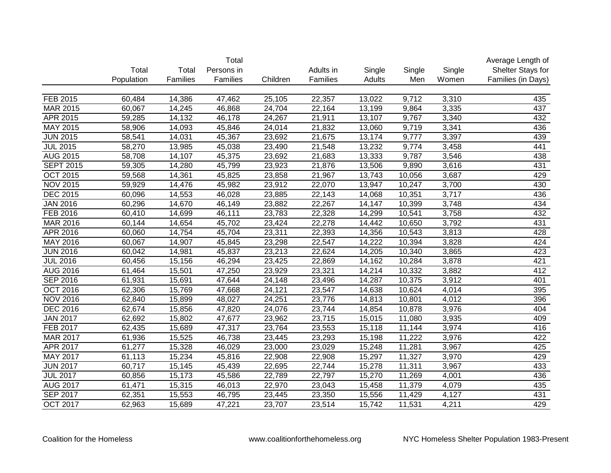|                  |            |          | Total      |          |           |        |        |        | Average Length of  |
|------------------|------------|----------|------------|----------|-----------|--------|--------|--------|--------------------|
|                  | Total      | Total    | Persons in |          | Adults in | Single | Single | Single | Shelter Stays for  |
|                  | Population | Families | Families   | Children | Families  | Adults | Men    | Women  | Families (in Days) |
|                  |            |          |            |          |           |        |        |        |                    |
| FEB 2015         | 60,484     | 14,386   | 47,462     | 25,105   | 22,357    | 13,022 | 9,712  | 3,310  | 435                |
| <b>MAR 2015</b>  | 60,067     | 14,245   | 46,868     | 24,704   | 22,164    | 13,199 | 9,864  | 3,335  | 437                |
| APR 2015         | 59,285     | 14,132   | 46,178     | 24,267   | 21,911    | 13,107 | 9,767  | 3,340  | 432                |
| MAY 2015         | 58,906     | 14,093   | 45,846     | 24,014   | 21,832    | 13,060 | 9,719  | 3,341  | 436                |
| <b>JUN 2015</b>  | 58,541     | 14,031   | 45,367     | 23,692   | 21,675    | 13,174 | 9,777  | 3,397  | 439                |
| <b>JUL 2015</b>  | 58,270     | 13,985   | 45,038     | 23,490   | 21,548    | 13,232 | 9,774  | 3,458  | 441                |
| <b>AUG 2015</b>  | 58,708     | 14,107   | 45,375     | 23,692   | 21,683    | 13,333 | 9,787  | 3,546  | 438                |
| <b>SEPT 2015</b> | 59,305     | 14,280   | 45,799     | 23,923   | 21,876    | 13,506 | 9,890  | 3,616  | 431                |
| OCT 2015         | 59,568     | 14,361   | 45,825     | 23,858   | 21,967    | 13,743 | 10,056 | 3,687  | 429                |
| <b>NOV 2015</b>  | 59,929     | 14,476   | 45,982     | 23,912   | 22,070    | 13,947 | 10,247 | 3,700  | 430                |
| <b>DEC 2015</b>  | 60,096     | 14,553   | 46,028     | 23,885   | 22,143    | 14,068 | 10,351 | 3,717  | 436                |
| <b>JAN 2016</b>  | 60,296     | 14,670   | 46,149     | 23,882   | 22,267    | 14,147 | 10,399 | 3,748  | 434                |
| FEB 2016         | 60,410     | 14,699   | 46,111     | 23,783   | 22,328    | 14,299 | 10,541 | 3,758  | 432                |
| MAR 2016         | 60,144     | 14,654   | 45,702     | 23,424   | 22,278    | 14,442 | 10,650 | 3,792  | 431                |
| APR 2016         | 60,060     | 14,754   | 45,704     | 23,311   | 22,393    | 14,356 | 10,543 | 3,813  | 428                |
| MAY 2016         | 60,067     | 14,907   | 45,845     | 23,298   | 22,547    | 14,222 | 10,394 | 3,828  | 424                |
| <b>JUN 2016</b>  | 60,042     | 14,981   | 45,837     | 23,213   | 22,624    | 14,205 | 10,340 | 3,865  | 423                |
| <b>JUL 2016</b>  | 60,456     | 15,156   | 46,294     | 23,425   | 22,869    | 14,162 | 10,284 | 3,878  | 421                |
| <b>AUG 2016</b>  | 61,464     | 15,501   | 47,250     | 23,929   | 23,321    | 14,214 | 10,332 | 3,882  | 412                |
| <b>SEP 2016</b>  | 61,931     | 15,691   | 47,644     | 24,148   | 23,496    | 14,287 | 10,375 | 3,912  | 401                |
| <b>OCT 2016</b>  | 62,306     | 15,769   | 47,668     | 24,121   | 23,547    | 14,638 | 10,624 | 4,014  | 395                |
| <b>NOV 2016</b>  | 62,840     | 15,899   | 48,027     | 24,251   | 23,776    | 14,813 | 10,801 | 4,012  | 396                |
| <b>DEC 2016</b>  | 62,674     | 15,856   | 47,820     | 24,076   | 23,744    | 14,854 | 10,878 | 3,976  | 404                |
| <b>JAN 2017</b>  | 62,692     | 15,802   | 47,677     | 23,962   | 23,715    | 15,015 | 11,080 | 3,935  | 409                |
| FEB 2017         | 62,435     | 15,689   | 47,317     | 23,764   | 23,553    | 15,118 | 11,144 | 3,974  | 416                |
| <b>MAR 2017</b>  | 61,936     | 15,525   | 46,738     | 23,445   | 23,293    | 15,198 | 11,222 | 3,976  | 422                |
| APR 2017         | 61,277     | 15,328   | 46,029     | 23,000   | 23,029    | 15,248 | 11,281 | 3,967  | 425                |
| <b>MAY 2017</b>  | 61,113     | 15,234   | 45,816     | 22,908   | 22,908    | 15,297 | 11,327 | 3,970  | 429                |
| <b>JUN 2017</b>  | 60,717     | 15,145   | 45,439     | 22,695   | 22,744    | 15,278 | 11,311 | 3,967  | 433                |
| <b>JUL 2017</b>  | 60,856     | 15,173   | 45,586     | 22,789   | 22,797    | 15,270 | 11,269 | 4,001  | 436                |
| <b>AUG 2017</b>  | 61,471     | 15,315   | 46,013     | 22,970   | 23,043    | 15,458 | 11,379 | 4,079  | 435                |
| <b>SEP 2017</b>  | 62,351     | 15,553   | 46,795     | 23,445   | 23,350    | 15,556 | 11,429 | 4,127  | 431                |
| <b>OCT 2017</b>  | 62,963     | 15,689   | 47,221     | 23,707   | 23,514    | 15,742 | 11,531 | 4,211  | 429                |